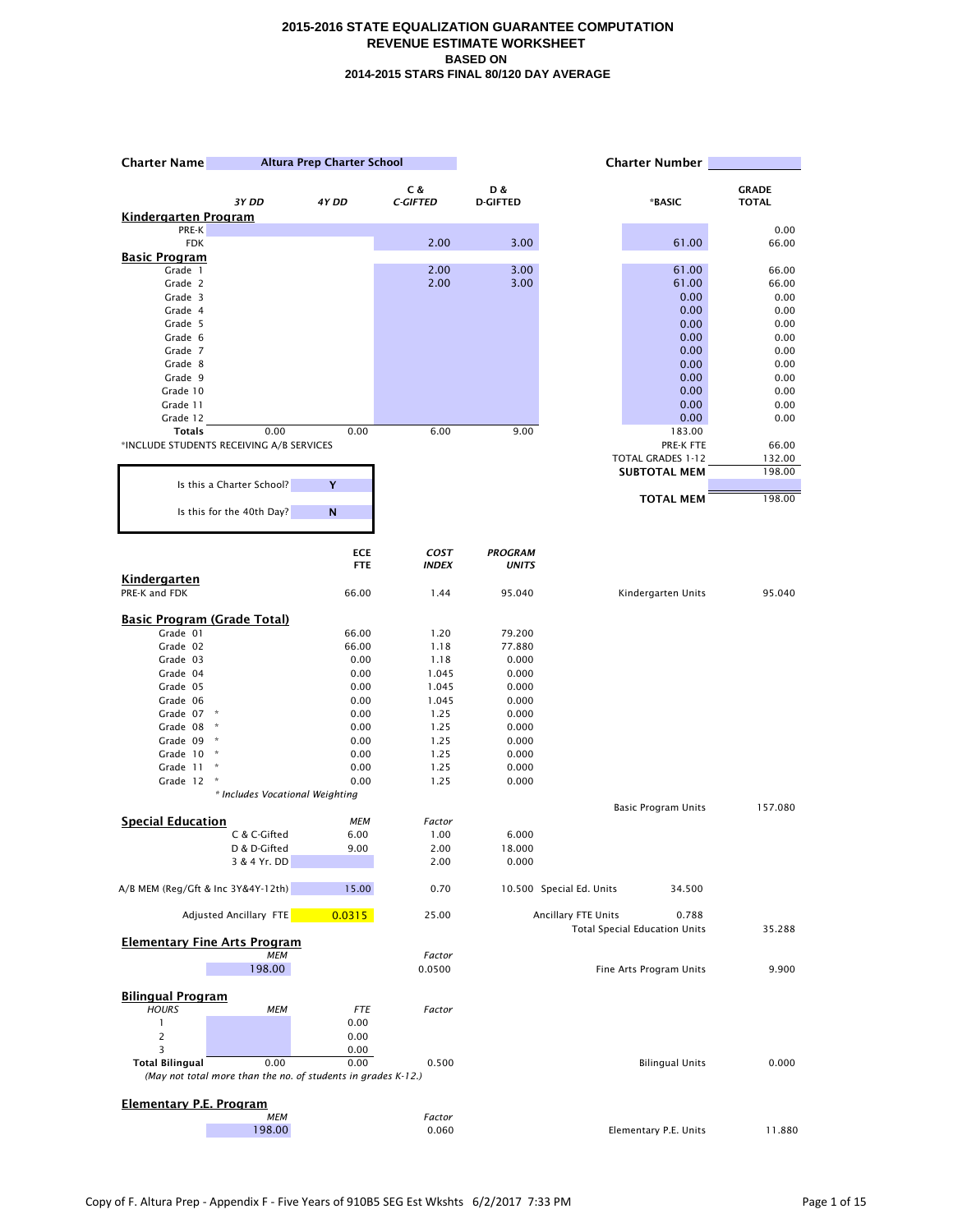| <b>Charter Name</b>                      | Altura Prep Charter School                                            |                          | <b>Charter Number</b>       |                                |                          |                                               |               |
|------------------------------------------|-----------------------------------------------------------------------|--------------------------|-----------------------------|--------------------------------|--------------------------|-----------------------------------------------|---------------|
|                                          |                                                                       |                          | C &                         | D &                            |                          |                                               | <b>GRADE</b>  |
|                                          | 3Y DD                                                                 | 4Y DD                    | <b>C-GIFTED</b>             | <b>D-GIFTED</b>                |                          | *BASIC                                        | <b>TOTAL</b>  |
| <u>Kindergarten Program</u>              |                                                                       |                          |                             |                                |                          |                                               |               |
| PRE-K<br><b>FDK</b>                      |                                                                       |                          | 2.00                        | 3.00                           |                          | 61.00                                         | 0.00<br>66.00 |
| <u> Basic Program</u>                    |                                                                       |                          |                             |                                |                          |                                               |               |
| Grade 1                                  |                                                                       |                          | 2.00                        | 3.00                           |                          | 61.00                                         | 66.00         |
| Grade 2                                  |                                                                       |                          | 2.00                        | 3.00                           |                          | 61.00                                         | 66.00         |
| Grade 3                                  |                                                                       |                          |                             |                                |                          | 0.00                                          | 0.00          |
| Grade 4<br>Grade 5                       |                                                                       |                          |                             |                                |                          | 0.00                                          | 0.00          |
| Grade 6                                  |                                                                       |                          |                             |                                |                          | 0.00<br>0.00                                  | 0.00<br>0.00  |
| Grade 7                                  |                                                                       |                          |                             |                                |                          | 0.00                                          | 0.00          |
| Grade 8                                  |                                                                       |                          |                             |                                |                          | 0.00                                          | 0.00          |
| Grade 9                                  |                                                                       |                          |                             |                                |                          | 0.00                                          | 0.00          |
| Grade 10                                 |                                                                       |                          |                             |                                |                          | 0.00                                          | 0.00          |
| Grade 11                                 |                                                                       |                          |                             |                                |                          | 0.00                                          | 0.00          |
| Grade 12<br><b>Totals</b>                | 0.00                                                                  | 0.00                     | 6.00                        | 9.00                           |                          | 0.00<br>183.00                                | 0.00          |
| *INCLUDE STUDENTS RECEIVING A/B SERVICES |                                                                       |                          |                             |                                |                          | PRE-K FTE                                     | 66.00         |
|                                          |                                                                       |                          |                             |                                |                          | TOTAL GRADES 1-12                             | 132.00        |
|                                          |                                                                       |                          |                             |                                |                          | <b>SUBTOTAL MEM</b>                           | 198.00        |
|                                          | Is this a Charter School?                                             | Y                        |                             |                                |                          |                                               |               |
|                                          | Is this for the 40th Day?                                             | N                        |                             |                                |                          | <b>TOTAL MEM</b>                              | 198.00        |
|                                          |                                                                       |                          |                             |                                |                          |                                               |               |
|                                          |                                                                       | <b>ECE</b><br><b>FTE</b> | <b>COST</b><br><b>INDEX</b> | <b>PROGRAM</b><br><b>UNITS</b> |                          |                                               |               |
| <b>Kindergarten</b>                      |                                                                       |                          |                             |                                |                          |                                               |               |
| PRE-K and FDK                            |                                                                       | 66.00                    | 1.44                        | 95.040                         |                          | Kindergarten Units                            | 95.040        |
| <b>Basic Program (Grade Total)</b>       |                                                                       |                          |                             |                                |                          |                                               |               |
| Grade 01                                 |                                                                       | 66.00                    | 1.20                        | 79.200                         |                          |                                               |               |
| Grade 02                                 |                                                                       | 66.00                    | 1.18                        | 77.880                         |                          |                                               |               |
| Grade 03                                 |                                                                       | 0.00                     | 1.18                        | 0.000                          |                          |                                               |               |
| Grade 04                                 |                                                                       | 0.00                     | 1.045                       | 0.000                          |                          |                                               |               |
| Grade 05                                 |                                                                       | 0.00                     | 1.045                       | 0.000                          |                          |                                               |               |
| Grade 06<br>Grade 07                     |                                                                       | 0.00<br>0.00             | 1.045<br>1.25               | 0.000<br>0.000                 |                          |                                               |               |
| Grade 08                                 | $\boldsymbol{\kappa}$                                                 | 0.00                     | 1.25                        | 0.000                          |                          |                                               |               |
| Grade 09                                 | $\pmb{\ast}$                                                          | 0.00                     | 1.25                        | 0.000                          |                          |                                               |               |
| Grade $10$ $*$                           |                                                                       | 0.00                     | 1.25                        | 0.000                          |                          |                                               |               |
| Grade 11                                 | $\boldsymbol{\dot{\pi}}$                                              | 0.00                     | 1.25                        | 0.000                          |                          |                                               |               |
| Grade 12                                 | ×                                                                     | 0.00                     | 1.25                        | 0.000                          |                          |                                               |               |
|                                          | * Includes Vocational Weighting                                       |                          |                             |                                |                          |                                               |               |
| <b>Special Education</b>                 |                                                                       | <b>MEM</b>               | Factor                      |                                |                          | Basic Program Units                           | 157.080       |
|                                          | C & C-Gifted                                                          | 6.00                     | 1.00                        | 6.000                          |                          |                                               |               |
|                                          | D & D-Gifted                                                          | 9.00                     | 2.00                        | 18.000                         |                          |                                               |               |
|                                          | 3 & 4 Yr. DD                                                          |                          | 2.00                        | 0.000                          |                          |                                               |               |
| A/B MEM (Reg/Gft & Inc 3Y&4Y-12th)       |                                                                       | 15.00                    | 0.70                        |                                | 10.500 Special Ed. Units | 34.500                                        |               |
|                                          | Adjusted Ancillary FTE                                                | 0.0315                   | 25.00                       |                                | Ancillary FTE Units      | 0.788<br><b>Total Special Education Units</b> | 35.288        |
|                                          | <b>Elementary Fine Arts Program</b>                                   |                          |                             |                                |                          |                                               |               |
|                                          | <b>MEM</b>                                                            |                          | Factor                      |                                |                          |                                               |               |
|                                          | 198.00                                                                |                          | 0.0500                      |                                |                          | Fine Arts Program Units                       | 9.900         |
| <b>Bilingual Program</b>                 |                                                                       |                          |                             |                                |                          |                                               |               |
| <b>HOURS</b>                             | <b>MEM</b>                                                            | FTE                      | Factor                      |                                |                          |                                               |               |
| $\mathbf{1}$                             |                                                                       | 0.00                     |                             |                                |                          |                                               |               |
| $\overline{c}$                           |                                                                       | 0.00                     |                             |                                |                          |                                               |               |
| 3                                        |                                                                       | 0.00                     |                             |                                |                          |                                               |               |
| <b>Total Bilingual</b>                   | 0.00<br>(May not total more than the no. of students in grades K-12.) | 0.00                     | 0.500                       |                                |                          | <b>Bilingual Units</b>                        | 0.000         |
|                                          |                                                                       |                          |                             |                                |                          |                                               |               |
| <b>Elementary P.E. Program</b>           | <b>MEM</b>                                                            |                          | Factor                      |                                |                          |                                               |               |
|                                          | 198.00                                                                |                          | 0.060                       |                                |                          | Elementary P.E. Units                         | 11.880        |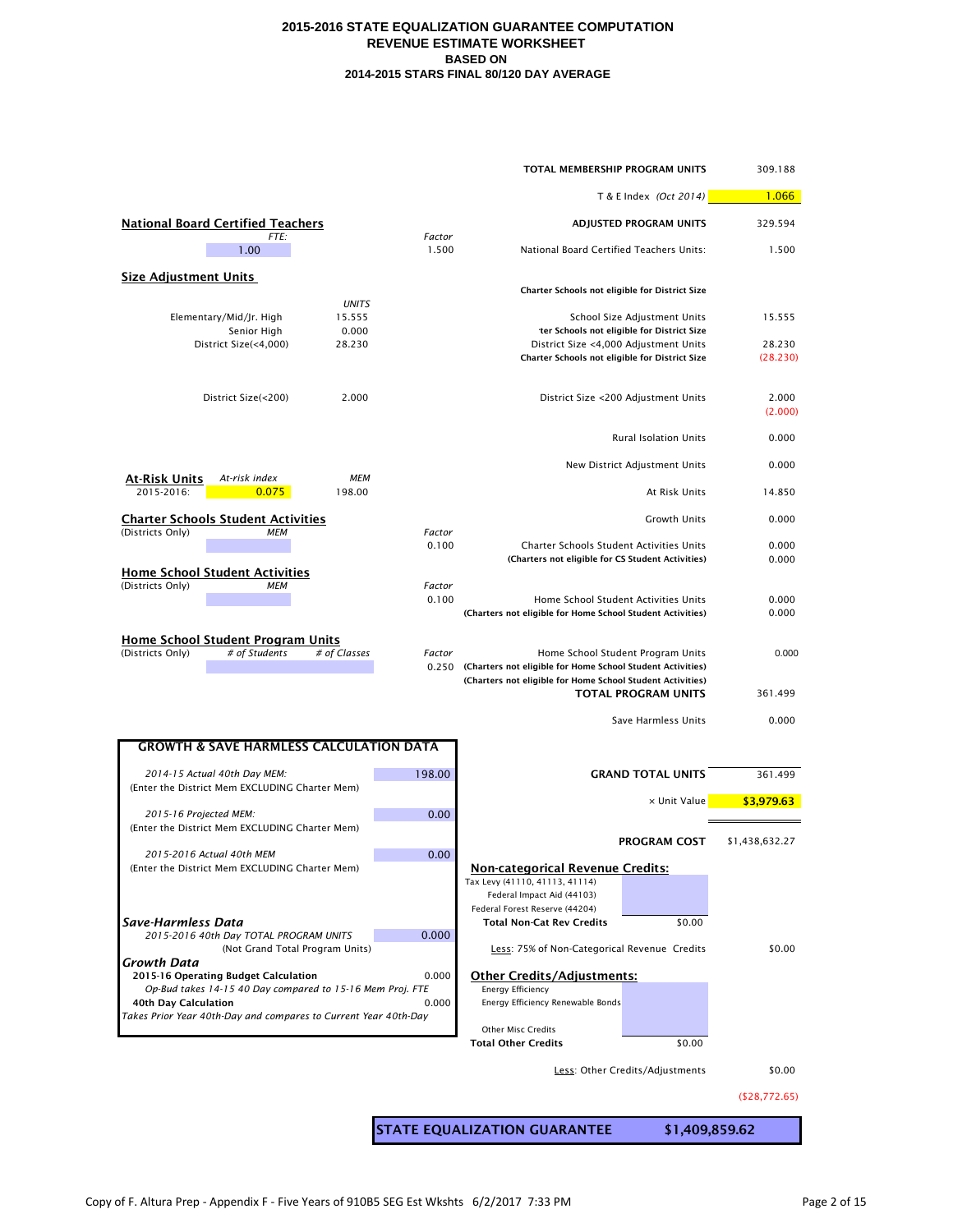|                                                                                                   |                 | TOTAL MEMBERSHIP PROGRAM UNITS                                                                     |                                            | 309.188          |
|---------------------------------------------------------------------------------------------------|-----------------|----------------------------------------------------------------------------------------------------|--------------------------------------------|------------------|
|                                                                                                   |                 |                                                                                                    | T & E Index (Oct 2014)                     | 1.066            |
| <b>National Board Certified Teachers</b><br>FTE:                                                  | Factor          |                                                                                                    | ADJUSTED PROGRAM UNITS                     | 329.594          |
| 1.00                                                                                              | 1.500           | National Board Certified Teachers Units:                                                           |                                            | 1.500            |
| <b>Size Adjustment Units</b>                                                                      |                 | Charter Schools not eligible for District Size                                                     |                                            |                  |
| <b>UNITS</b><br>Elementary/Mid/Jr. High<br>15.555                                                 |                 |                                                                                                    | School Size Adjustment Units               | 15.555           |
| 0.000<br>Senior High<br>28.230<br>District Size(<4,000)                                           |                 | District Size <4,000 Adjustment Units                                                              | ter Schools not eligible for District Size | 28.230           |
|                                                                                                   |                 | Charter Schools not eligible for District Size                                                     |                                            | (28.230)         |
| 2.000<br>District Size(<200)                                                                      |                 |                                                                                                    | District Size <200 Adjustment Units        | 2.000<br>(2.000) |
|                                                                                                   |                 |                                                                                                    | <b>Rural Isolation Units</b>               | 0.000            |
| <b>At-Risk Units</b><br>At-risk index<br>MEM                                                      |                 |                                                                                                    | New District Adjustment Units              | 0.000            |
| 2015-2016:<br>0.075<br>198.00                                                                     |                 |                                                                                                    | At Risk Units                              | 14.850           |
| <b>Charter Schools Student Activities</b><br>(Districts Only)<br>MEM                              | Factor          |                                                                                                    | <b>Growth Units</b>                        | 0.000            |
|                                                                                                   | 0.100           | Charter Schools Student Activities Units<br>(Charters not eligible for CS Student Activities)      |                                            | 0.000<br>0.000   |
| <b>Home School Student Activities</b><br>(Districts Only)<br><b>MEM</b>                           | Factor          |                                                                                                    |                                            |                  |
|                                                                                                   | 0.100           | Home School Student Activities Units<br>(Charters not eligible for Home School Student Activities) |                                            | 0.000<br>0.000   |
| Home School Student Program Units                                                                 |                 |                                                                                                    |                                            |                  |
| # of Students<br># of Classes<br>(Districts Only)                                                 | Factor<br>0.250 | (Charters not eligible for Home School Student Activities)                                         | Home School Student Program Units          | 0.000            |
|                                                                                                   |                 | (Charters not eligible for Home School Student Activities)                                         | <b>TOTAL PROGRAM UNITS</b>                 | 361.499          |
|                                                                                                   |                 |                                                                                                    | Save Harmless Units                        | 0.000            |
| <b>GROWTH &amp; SAVE HARMLESS CALCULATION DATA</b>                                                |                 |                                                                                                    |                                            |                  |
| 2014-15 Actual 40th Day MEM:                                                                      | 198.00          |                                                                                                    | <b>GRAND TOTAL UNITS</b>                   | 361.499          |
| (Enter the District Mem EXCLUDING Charter Mem)                                                    |                 |                                                                                                    | x Unit Value                               | \$3,979.63       |
| 2015-16 Projected MEM:<br>(Enter the District Mem EXCLUDING Charter Mem)                          | 0.00            |                                                                                                    |                                            |                  |
| 2015-2016 Actual 40th MEM                                                                         | 0.00            |                                                                                                    | <b>PROGRAM COST</b>                        | \$1,438,632.27   |
| (Enter the District Mem EXCLUDING Charter Mem)                                                    |                 | <b>Non-categorical Revenue Credits:</b><br>Tax Levy (41110, 41113, 41114)                          |                                            |                  |
|                                                                                                   |                 | Federal Impact Aid (44103)<br>Federal Forest Reserve (44204)                                       |                                            |                  |
| Save-Harmless Data<br>2015-2016 40th Day TOTAL PROGRAM UNITS                                      | 0.000           | <b>Total Non-Cat Rev Credits</b>                                                                   | \$0.00                                     |                  |
| (Not Grand Total Program Units)<br>Growth Data                                                    |                 | Less: 75% of Non-Categorical Revenue Credits                                                       |                                            | \$0.00           |
| 2015-16 Operating Budget Calculation<br>Op-Bud takes 14-15 40 Day compared to 15-16 Mem Proj. FTE | 0.000           | <b>Other Credits/Adjustments:</b><br><b>Energy Efficiency</b>                                      |                                            |                  |
| 40th Day Calculation<br>Takes Prior Year 40th-Day and compares to Current Year 40th-Day           | 0.000           | Energy Efficiency Renewable Bonds                                                                  |                                            |                  |
|                                                                                                   |                 | <b>Other Misc Credits</b><br><b>Total Other Credits</b>                                            | \$0.00                                     |                  |
|                                                                                                   |                 |                                                                                                    | Less: Other Credits/Adjustments            | \$0.00           |
|                                                                                                   |                 |                                                                                                    |                                            | ( \$28,772.65)   |
|                                                                                                   |                 |                                                                                                    |                                            |                  |
|                                                                                                   |                 | <b>STATE EQUALIZATION GUARANTEE</b>                                                                | \$1,409,859.62                             |                  |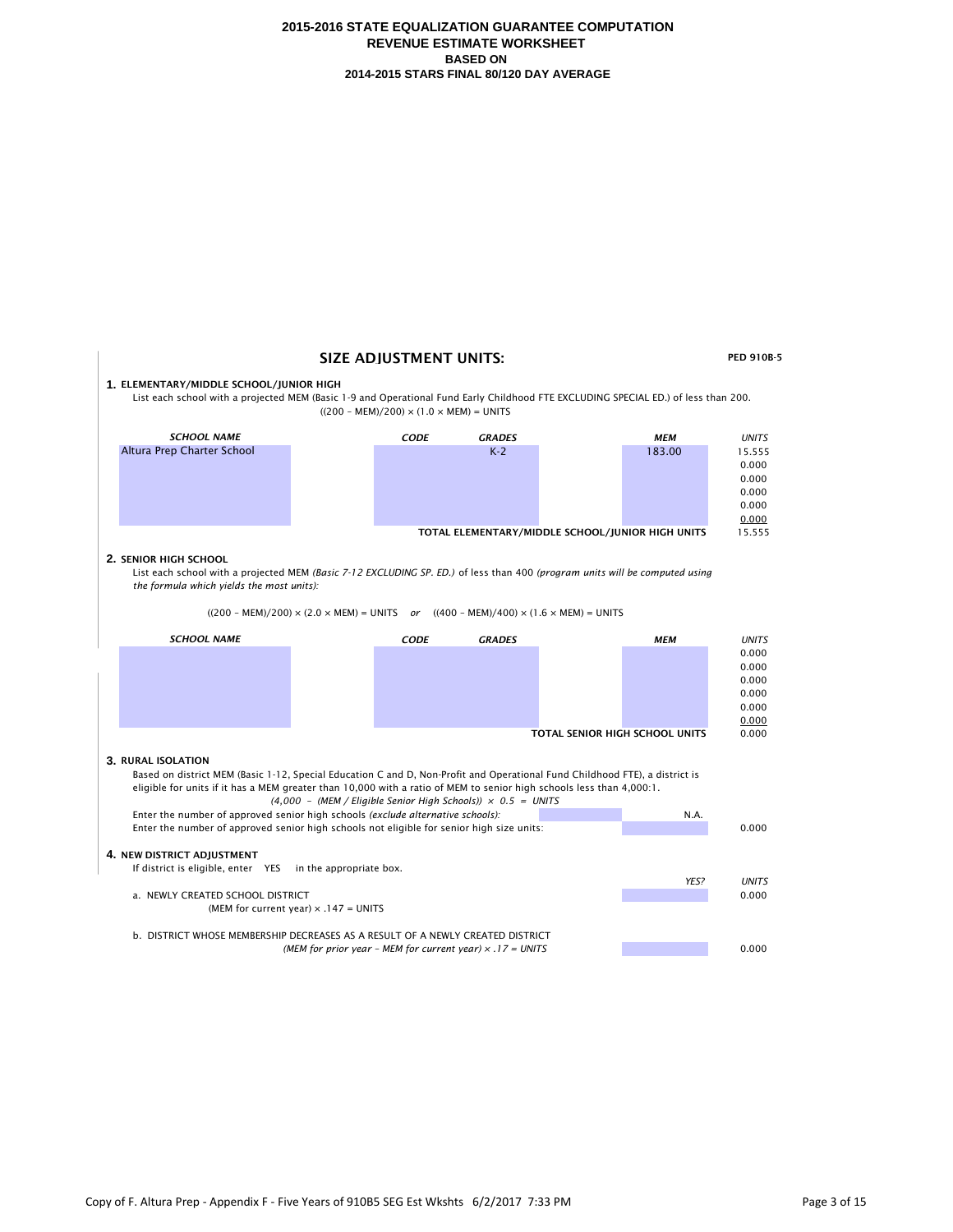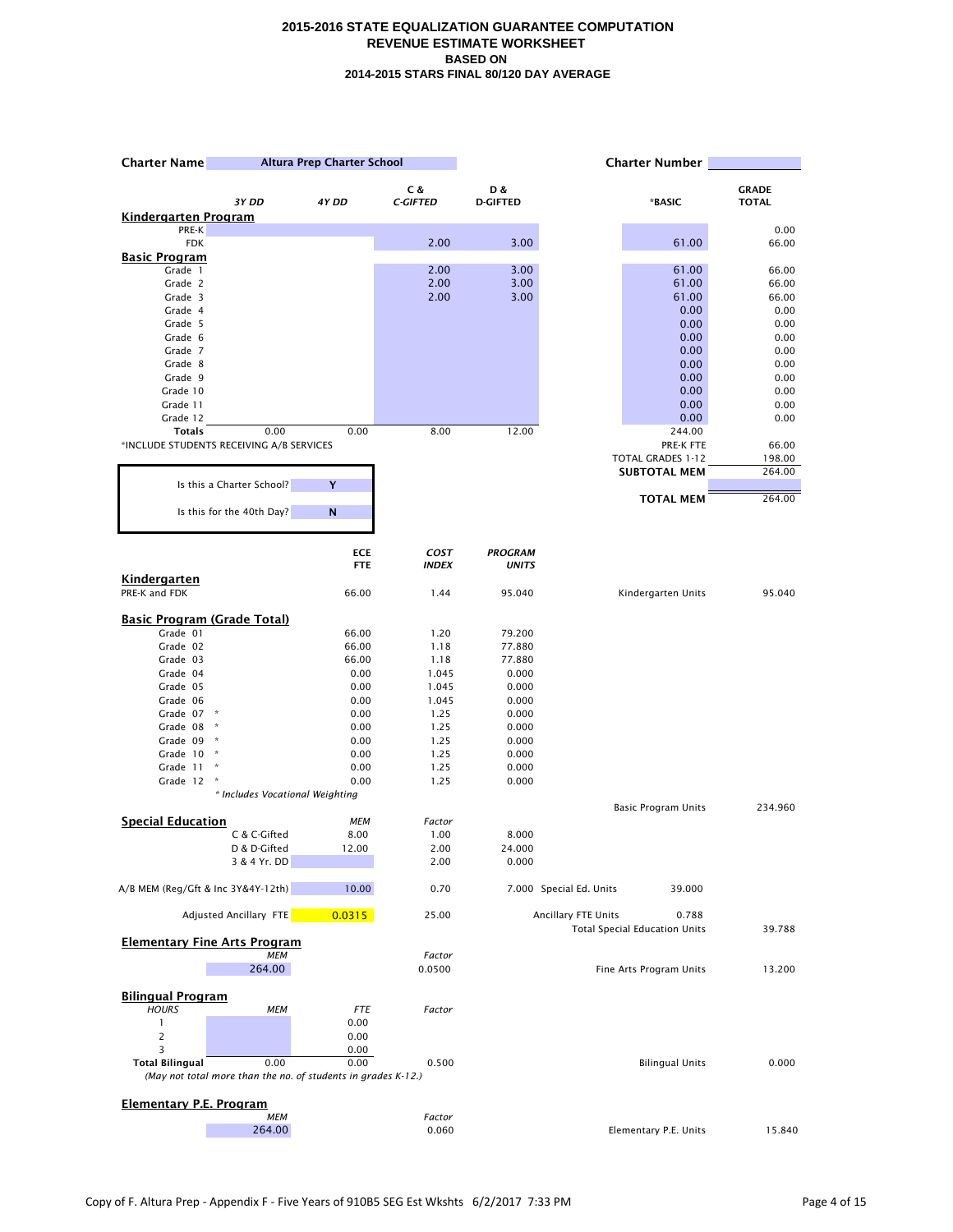| <b>Charter Name</b>                            | Altura Prep Charter School                                            |              | <b>Charter Number</b> |                 |                                                                      |              |
|------------------------------------------------|-----------------------------------------------------------------------|--------------|-----------------------|-----------------|----------------------------------------------------------------------|--------------|
|                                                |                                                                       |              | C &                   | D &             |                                                                      | <b>GRADE</b> |
|                                                | 3Y DD                                                                 | 4Y DD        | <b>C-GIFTED</b>       | <b>D-GIFTED</b> | *BASIC                                                               | <b>TOTAL</b> |
| <u>Kindergarten Program</u><br>PRE-K           |                                                                       |              |                       |                 |                                                                      | 0.00         |
| <b>FDK</b>                                     |                                                                       |              | 2.00                  | 3.00            | 61.00                                                                | 66.00        |
| Basic Program                                  |                                                                       |              |                       |                 |                                                                      |              |
| Grade 1                                        |                                                                       |              | 2.00                  | 3.00            | 61.00                                                                | 66.00        |
| Grade 2                                        |                                                                       |              | 2.00                  | 3.00            | 61.00                                                                | 66.00        |
| Grade 3                                        |                                                                       |              | 2.00                  | 3.00            | 61.00                                                                | 66.00        |
| Grade 4                                        |                                                                       |              |                       |                 | 0.00                                                                 | 0.00         |
| Grade 5                                        |                                                                       |              |                       |                 | 0.00                                                                 | 0.00         |
| Grade 6<br>Grade 7                             |                                                                       |              |                       |                 | 0.00<br>0.00                                                         | 0.00<br>0.00 |
| Grade 8                                        |                                                                       |              |                       |                 | 0.00                                                                 | 0.00         |
| Grade 9                                        |                                                                       |              |                       |                 | 0.00                                                                 | 0.00         |
| Grade 10                                       |                                                                       |              |                       |                 | 0.00                                                                 | 0.00         |
| Grade 11                                       |                                                                       |              |                       |                 | 0.00                                                                 | 0.00         |
| Grade 12                                       |                                                                       |              |                       |                 | 0.00                                                                 | 0.00         |
| <b>Totals</b>                                  | 0.00                                                                  | 0.00         | 8.00                  | 12.00           | 244.00                                                               |              |
|                                                | *INCLUDE STUDENTS RECEIVING A/B SERVICES                              |              |                       |                 | PRE-K FTE                                                            | 66.00        |
|                                                |                                                                       |              |                       |                 | <b>TOTAL GRADES 1-12</b>                                             | 198.00       |
|                                                | Is this a Charter School?                                             | Y            |                       |                 | <b>SUBTOTAL MEM</b>                                                  | 264.00       |
|                                                |                                                                       |              |                       |                 | <b>TOTAL MEM</b>                                                     | 264.00       |
|                                                | Is this for the 40th Day?                                             | N            |                       |                 |                                                                      |              |
|                                                |                                                                       | <b>ECE</b>   | <b>COST</b>           | <b>PROGRAM</b>  |                                                                      |              |
|                                                |                                                                       | <b>FTE</b>   | <b>INDEX</b>          | <b>UNITS</b>    |                                                                      |              |
| Kindergarten<br>PRE-K and FDK                  |                                                                       | 66.00        | 1.44                  | 95.040          | Kindergarten Units                                                   | 95.040       |
|                                                |                                                                       |              |                       |                 |                                                                      |              |
| <b>Basic Program (Grade Total)</b><br>Grade 01 |                                                                       | 66.00        | 1.20                  | 79.200          |                                                                      |              |
| Grade 02                                       |                                                                       | 66.00        | 1.18                  | 77.880          |                                                                      |              |
| Grade 03                                       |                                                                       | 66.00        | 1.18                  | 77.880          |                                                                      |              |
| Grade 04                                       |                                                                       | 0.00         | 1.045                 | 0.000           |                                                                      |              |
| Grade 05                                       |                                                                       | 0.00         | 1.045                 | 0.000           |                                                                      |              |
| Grade 06                                       |                                                                       | 0.00         | 1.045                 | 0.000           |                                                                      |              |
| Grade 07                                       |                                                                       | 0.00         | 1.25                  | 0.000           |                                                                      |              |
| Grade 08                                       | $\boldsymbol{\kappa}$                                                 | 0.00         | 1.25                  | 0.000           |                                                                      |              |
| Grade 09                                       | $\boldsymbol{\kappa}$                                                 | 0.00         | 1.25                  | 0.000           |                                                                      |              |
| Grade 10                                       | $\mathcal{R}$<br>Ŕ                                                    | 0.00         | 1.25                  | 0.000           |                                                                      |              |
| Grade 11<br>Grade 12                           | $\,$                                                                  | 0.00<br>0.00 | 1.25<br>1.25          | 0.000<br>0.000  |                                                                      |              |
|                                                | * Includes Vocational Weighting                                       |              |                       |                 |                                                                      |              |
|                                                |                                                                       |              |                       |                 | <b>Basic Program Units</b>                                           | 234.960      |
| <b>Special Education</b>                       |                                                                       | <b>MEM</b>   | Factor                |                 |                                                                      |              |
|                                                | C & C-Gifted                                                          | 8.00         | 1.00                  | 8.000           |                                                                      |              |
|                                                | D & D-Gifted                                                          | 12.00        | 2.00                  | 24.000          |                                                                      |              |
|                                                | 3 & 4 Yr. DD                                                          |              | 2.00                  | 0.000           |                                                                      |              |
| A/B MEM (Reg/Gft & Inc 3Y&4Y-12th)             |                                                                       | 10.00        | 0.70                  |                 | 7.000 Special Ed. Units<br>39.000                                    |              |
|                                                | Adjusted Ancillary FTE                                                | 0.0315       | 25.00                 |                 | Ancillary FTE Units<br>0.788<br><b>Total Special Education Units</b> | 39.788       |
|                                                | <b>Elementary Fine Arts Program</b>                                   |              |                       |                 |                                                                      |              |
|                                                | <b>MEM</b>                                                            |              | Factor                |                 |                                                                      |              |
|                                                | 264.00                                                                |              | 0.0500                |                 | Fine Arts Program Units                                              | 13.200       |
| <b>Bilingual Program</b>                       |                                                                       |              |                       |                 |                                                                      |              |
| <b>HOURS</b>                                   | <b>MEM</b>                                                            | <b>FTE</b>   | Factor                |                 |                                                                      |              |
| 1                                              |                                                                       | 0.00         |                       |                 |                                                                      |              |
| $\overline{c}$                                 |                                                                       | 0.00         |                       |                 |                                                                      |              |
| 3                                              |                                                                       | 0.00         |                       |                 |                                                                      |              |
| <b>Total Bilingual</b>                         | 0.00<br>(May not total more than the no. of students in grades K-12.) | 0.00         | 0.500                 |                 | <b>Bilingual Units</b>                                               | 0.000        |
|                                                |                                                                       |              |                       |                 |                                                                      |              |
| <b>Elementary P.E. Program</b>                 | <b>MEM</b>                                                            |              | Factor                |                 |                                                                      |              |
|                                                | 264.00                                                                |              | 0.060                 |                 | Elementary P.E. Units                                                | 15.840       |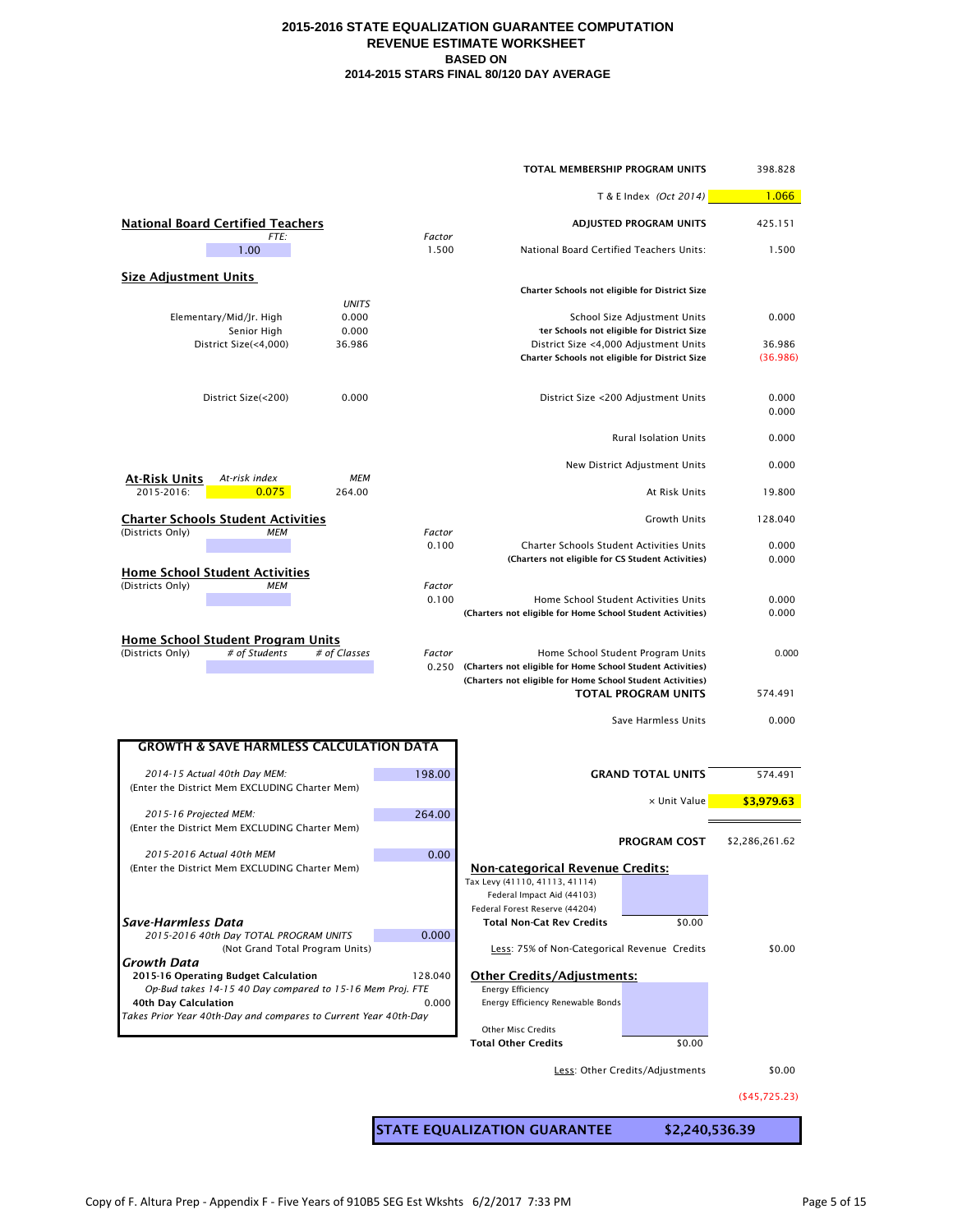|                                                                                               |         | TOTAL MEMBERSHIP PROGRAM UNITS                                                                                           |                                                                            | 398.828            |
|-----------------------------------------------------------------------------------------------|---------|--------------------------------------------------------------------------------------------------------------------------|----------------------------------------------------------------------------|--------------------|
|                                                                                               |         |                                                                                                                          | T & E Index (Oct 2014)                                                     | 1.066              |
| <b>National Board Certified Teachers</b><br>FTE:                                              | Factor  |                                                                                                                          | ADJUSTED PROGRAM UNITS                                                     |                    |
| 1.00                                                                                          | 1.500   | National Board Certified Teachers Units:                                                                                 | 1.500                                                                      |                    |
| <b>Size Adjustment Units</b>                                                                  |         |                                                                                                                          |                                                                            |                    |
| <b>UNITS</b>                                                                                  |         | Charter Schools not eligible for District Size                                                                           |                                                                            |                    |
| Elementary/Mid/Jr. High<br>0.000<br>0.000<br>Senior High                                      |         |                                                                                                                          | School Size Adjustment Units<br>ter Schools not eligible for District Size | 0.000              |
| District Size(<4,000)<br>36.986                                                               |         | District Size <4,000 Adjustment Units<br>Charter Schools not eligible for District Size                                  |                                                                            | 36.986<br>(36.986) |
| 0.000<br>District Size(<200)                                                                  |         |                                                                                                                          | District Size <200 Adjustment Units                                        | 0.000<br>0.000     |
|                                                                                               |         |                                                                                                                          | Rural Isolation Units                                                      | 0.000              |
| <u>At-Risk Units</u><br><b>MEM</b><br>At-risk index                                           |         |                                                                                                                          | New District Adjustment Units                                              | 0.000              |
| 2015-2016:<br>0.075<br>264.00                                                                 |         |                                                                                                                          | At Risk Units                                                              | 19.800             |
| <b>Charter Schools Student Activities</b><br>(Districts Only)<br><b>MEM</b>                   | Factor  |                                                                                                                          | <b>Growth Units</b>                                                        | 128.040            |
|                                                                                               | 0.100   | Charter Schools Student Activities Units<br>(Charters not eligible for CS Student Activities)                            |                                                                            | 0.000<br>0.000     |
| <b>Home School Student Activities</b><br>(Districts Only)<br><b>MEM</b>                       | Factor  |                                                                                                                          |                                                                            |                    |
|                                                                                               | 0.100   | Home School Student Activities Units<br>(Charters not eligible for Home School Student Activities)                       |                                                                            | 0.000<br>0.000     |
| <b>Home School Student Program Units</b><br># of Students<br># of Classes<br>(Districts Only) | Factor  |                                                                                                                          |                                                                            |                    |
|                                                                                               | 0.250   | (Charters not eligible for Home School Student Activities)<br>(Charters not eligible for Home School Student Activities) | Home School Student Program Units<br><b>TOTAL PROGRAM UNITS</b>            | 0.000<br>574.491   |
|                                                                                               |         |                                                                                                                          | Save Harmless Units                                                        | 0.000              |
|                                                                                               |         |                                                                                                                          |                                                                            |                    |
| <b>GROWTH &amp; SAVE HARMLESS CALCULATION DATA</b>                                            |         |                                                                                                                          |                                                                            |                    |
| 2014-15 Actual 40th Day MEM:<br>(Enter the District Mem EXCLUDING Charter Mem)                | 198.00  |                                                                                                                          | <b>GRAND TOTAL UNITS</b>                                                   | 574.491            |
| 2015-16 Projected MEM:                                                                        | 264.00  |                                                                                                                          | x Unit Value                                                               | \$3,979.63         |
| (Enter the District Mem EXCLUDING Charter Mem)                                                |         |                                                                                                                          | <b>PROGRAM COST</b>                                                        | \$2,286,261.62     |
| 2015-2016 Actual 40th MEM<br>(Enter the District Mem EXCLUDING Charter Mem)                   | 0.00    | <b>Non-categorical Revenue Credits:</b>                                                                                  |                                                                            |                    |
|                                                                                               |         | Tax Levy (41110, 41113, 41114)<br>Federal Impact Aid (44103)                                                             |                                                                            |                    |
| Save-Harmless Data                                                                            |         | Federal Forest Reserve (44204)                                                                                           |                                                                            |                    |
| 2015-2016 40th Day TOTAL PROGRAM UNITS<br>(Not Grand Total Program Units)                     | 0.000   | Total Non-Cat Rev Credits<br>Less: 75% of Non-Categorical Revenue Credits                                                | \$0.00                                                                     | \$0.00             |
| Growth Data<br>2015-16 Operating Budget Calculation                                           | 128.040 | <b>Other Credits/Adjustments:</b>                                                                                        |                                                                            |                    |
| Op-Bud takes 14-15 40 Day compared to 15-16 Mem Proj. FTE                                     |         | <b>Energy Efficiency</b>                                                                                                 |                                                                            |                    |
| 40th Day Calculation<br>Takes Prior Year 40th-Day and compares to Current Year 40th-Day       | 0.000   | Energy Efficiency Renewable Bonds                                                                                        |                                                                            |                    |
|                                                                                               |         | <b>Other Misc Credits</b><br><b>Total Other Credits</b>                                                                  | \$0.00                                                                     |                    |
|                                                                                               |         |                                                                                                                          | Less: Other Credits/Adjustments                                            | \$0.00             |
|                                                                                               |         |                                                                                                                          |                                                                            | ( \$45,725.23)     |
|                                                                                               |         | <b>STATE EQUALIZATION GUARANTEE</b>                                                                                      | \$2,240,536.39                                                             |                    |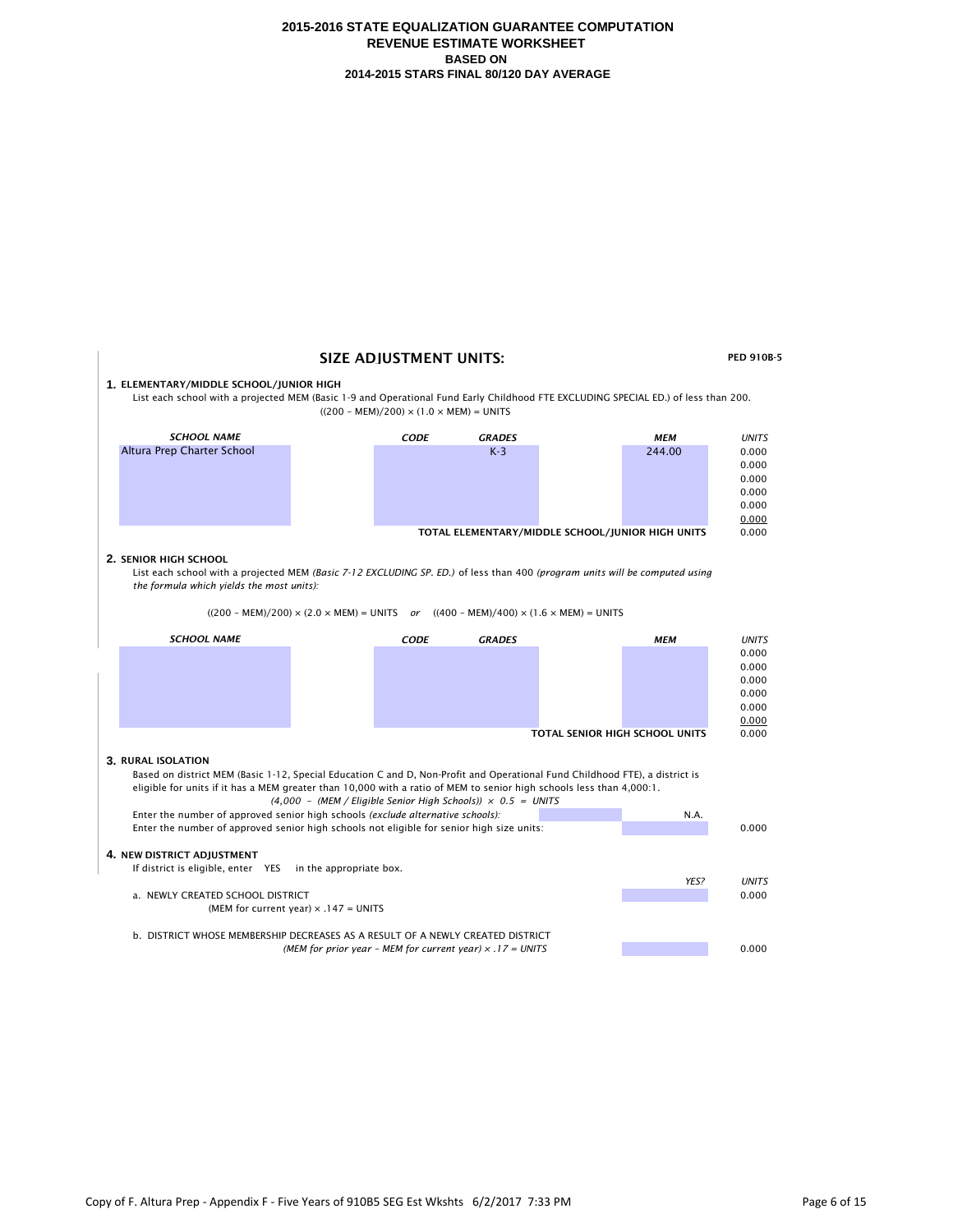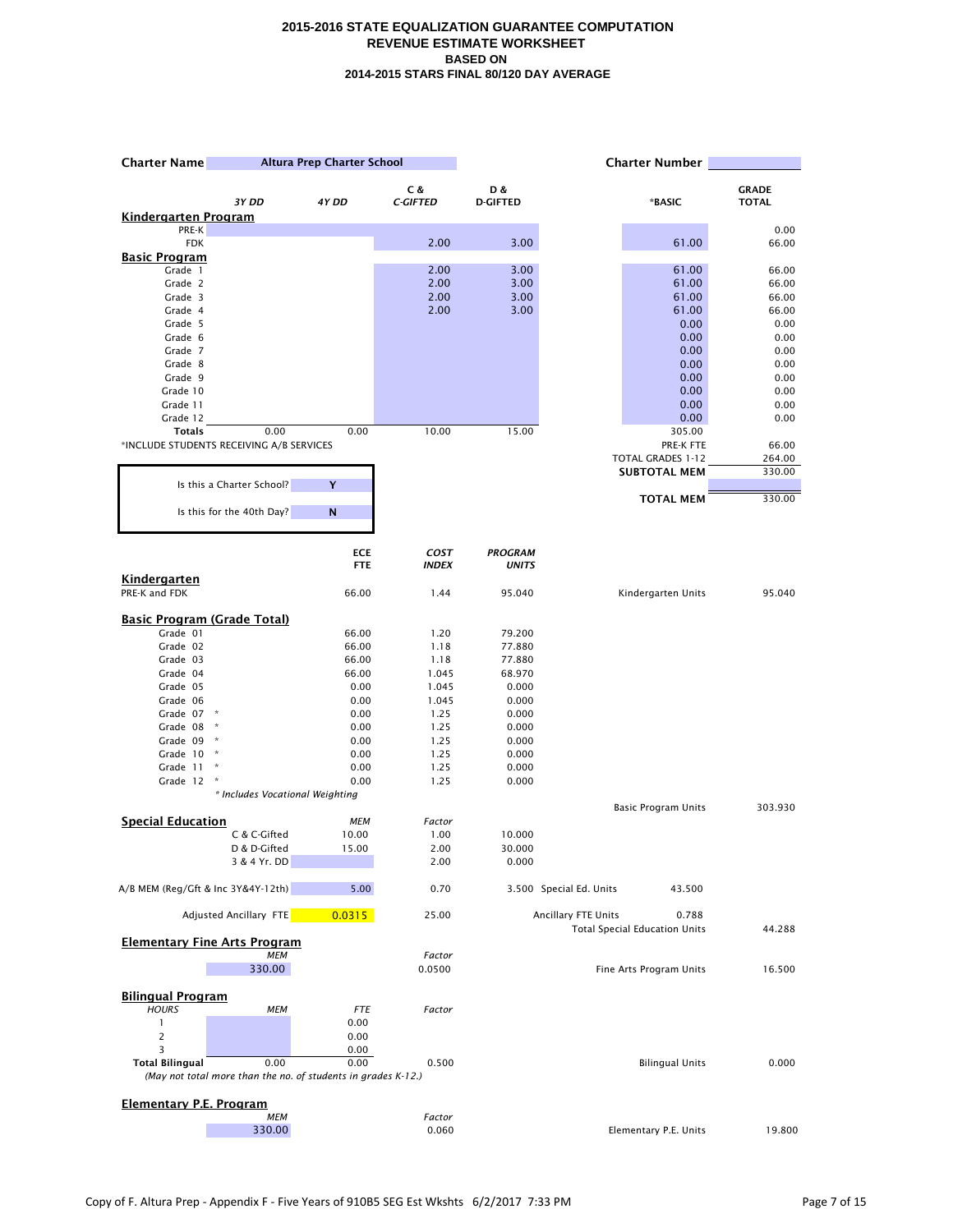| Altura Prep Charter School<br><b>Charter Name</b> |                                                                       |                     |                 | <b>Charter Number</b> |                         |                                       |                 |
|---------------------------------------------------|-----------------------------------------------------------------------|---------------------|-----------------|-----------------------|-------------------------|---------------------------------------|-----------------|
|                                                   |                                                                       |                     | C &             | D &                   |                         |                                       | <b>GRADE</b>    |
|                                                   | 3Y DD                                                                 | 4Y DD               | <b>C-GIFTED</b> | <b>D-GIFTED</b>       |                         | *BASIC                                | <b>TOTAL</b>    |
| <u>Kindergarten Program</u>                       |                                                                       |                     |                 |                       |                         |                                       | 0.00            |
| PRE-K<br><b>FDK</b>                               |                                                                       |                     | 2.00            | 3.00                  |                         | 61.00                                 | 66.00           |
| <b>Basic Program</b>                              |                                                                       |                     |                 |                       |                         |                                       |                 |
| Grade 1                                           |                                                                       |                     | 2.00            | 3.00                  |                         | 61.00                                 | 66.00           |
| Grade 2                                           |                                                                       |                     | 2.00            | 3.00                  |                         | 61.00                                 | 66.00           |
| Grade 3                                           |                                                                       |                     | 2.00            | 3.00                  |                         | 61.00                                 | 66.00           |
| Grade 4                                           |                                                                       |                     | 2.00            | 3.00                  |                         | 61.00                                 | 66.00           |
| Grade 5<br>Grade 6                                |                                                                       |                     |                 |                       |                         | 0.00<br>0.00                          | 0.00<br>0.00    |
| Grade 7                                           |                                                                       |                     |                 |                       |                         | 0.00                                  | 0.00            |
| Grade 8                                           |                                                                       |                     |                 |                       |                         | 0.00                                  | 0.00            |
| Grade 9                                           |                                                                       |                     |                 |                       |                         | 0.00                                  | 0.00            |
| Grade 10                                          |                                                                       |                     |                 |                       |                         | 0.00                                  | 0.00            |
| Grade 11                                          |                                                                       |                     |                 |                       |                         | 0.00                                  | 0.00            |
| Grade 12                                          |                                                                       |                     |                 |                       |                         | 0.00                                  | 0.00            |
| <b>Totals</b>                                     | 0.00                                                                  | 0.00                | 10.00           | 15.00                 |                         | 305.00                                |                 |
|                                                   | *INCLUDE STUDENTS RECEIVING A/B SERVICES                              |                     |                 |                       |                         | PRE-K FTE<br><b>TOTAL GRADES 1-12</b> | 66.00<br>264.00 |
|                                                   |                                                                       |                     |                 |                       |                         | <b>SUBTOTAL MEM</b>                   | 330.00          |
|                                                   | Is this a Charter School?                                             | Y                   |                 |                       |                         |                                       |                 |
|                                                   |                                                                       |                     |                 |                       |                         | <b>TOTAL MEM</b>                      | 330.00          |
|                                                   | Is this for the 40th Day?                                             | N                   |                 |                       |                         |                                       |                 |
|                                                   |                                                                       | <b>ECE</b>          | COST            | <b>PROGRAM</b>        |                         |                                       |                 |
|                                                   |                                                                       | <b>FTE</b>          | <b>INDEX</b>    | <b>UNITS</b>          |                         |                                       |                 |
| <b>Kindergarten</b>                               |                                                                       |                     |                 |                       |                         |                                       |                 |
| PRE-K and FDK                                     |                                                                       | 66.00               | 1.44            | 95.040                |                         | Kindergarten Units                    | 95.040          |
| <b>Basic Program (Grade Total)</b>                |                                                                       |                     |                 |                       |                         |                                       |                 |
| Grade 01                                          |                                                                       | 66.00               | 1.20            | 79.200                |                         |                                       |                 |
| Grade 02                                          |                                                                       | 66.00               | 1.18            | 77.880                |                         |                                       |                 |
| Grade 03                                          |                                                                       | 66.00               | 1.18            | 77.880                |                         |                                       |                 |
| Grade 04                                          |                                                                       | 66.00               | 1.045           | 68.970                |                         |                                       |                 |
| Grade 05                                          |                                                                       | 0.00                | 1.045           | 0.000                 |                         |                                       |                 |
| Grade 06                                          |                                                                       | 0.00                | 1.045           | 0.000                 |                         |                                       |                 |
| Grade 07<br>Grade 08                              | ×                                                                     | 0.00<br>0.00        | 1.25<br>1.25    | 0.000<br>0.000        |                         |                                       |                 |
| Grade 09                                          |                                                                       | 0.00                | 1.25            | 0.000                 |                         |                                       |                 |
| Grade 10                                          | $\,$ $\,$                                                             | 0.00                | 1.25            | 0.000                 |                         |                                       |                 |
| Grade 11                                          |                                                                       | 0.00                | 1.25            | 0.000                 |                         |                                       |                 |
| Grade 12                                          |                                                                       | 0.00                | 1.25            | 0.000                 |                         |                                       |                 |
|                                                   | * Includes Vocational Weighting                                       |                     |                 |                       |                         |                                       |                 |
| <b>Special Education</b>                          |                                                                       |                     |                 |                       |                         | Basic Program Units                   | 303.930         |
|                                                   | C & C-Gifted                                                          | <b>MEM</b><br>10.00 | Factor<br>1.00  | 10.000                |                         |                                       |                 |
|                                                   | D & D-Gifted                                                          | 15.00               | 2.00            | 30.000                |                         |                                       |                 |
|                                                   | 3 & 4 Yr. DD                                                          |                     | 2.00            | 0.000                 |                         |                                       |                 |
| A/B MEM (Reg/Gft & Inc 3Y&4Y-12th)                |                                                                       | 5.00                | 0.70            |                       | 3.500 Special Ed. Units | 43.500                                |                 |
|                                                   | <b>Adjusted Ancillary FTE</b>                                         | 0.0315              | 25.00           |                       | Ancillary FTE Units     | 0.788                                 |                 |
|                                                   | <b>Elementary Fine Arts Program</b>                                   |                     |                 |                       |                         | <b>Total Special Education Units</b>  | 44.288          |
|                                                   | <b>MEM</b>                                                            |                     | Factor          |                       |                         |                                       |                 |
|                                                   | 330.00                                                                |                     | 0.0500          |                       |                         | Fine Arts Program Units               | 16.500          |
| <b>Bilingual Program</b>                          |                                                                       |                     |                 |                       |                         |                                       |                 |
| <b>HOURS</b>                                      | МЕМ                                                                   | <b>FTE</b>          | Factor          |                       |                         |                                       |                 |
| $\mathbf{1}$                                      |                                                                       | 0.00                |                 |                       |                         |                                       |                 |
| $\overline{c}$                                    |                                                                       | 0.00                |                 |                       |                         |                                       |                 |
| 3                                                 |                                                                       | 0.00                |                 |                       |                         |                                       |                 |
| <b>Total Bilingual</b>                            | 0.00<br>(May not total more than the no. of students in grades K-12.) | 0.00                | 0.500           |                       |                         | <b>Bilingual Units</b>                | 0.000           |
|                                                   |                                                                       |                     |                 |                       |                         |                                       |                 |
| <b>Elementary P.E. Program</b>                    | <b>MEM</b>                                                            |                     | Factor          |                       |                         |                                       |                 |
|                                                   | 330.00                                                                |                     | 0.060           |                       |                         | Elementary P.E. Units                 | 19.800          |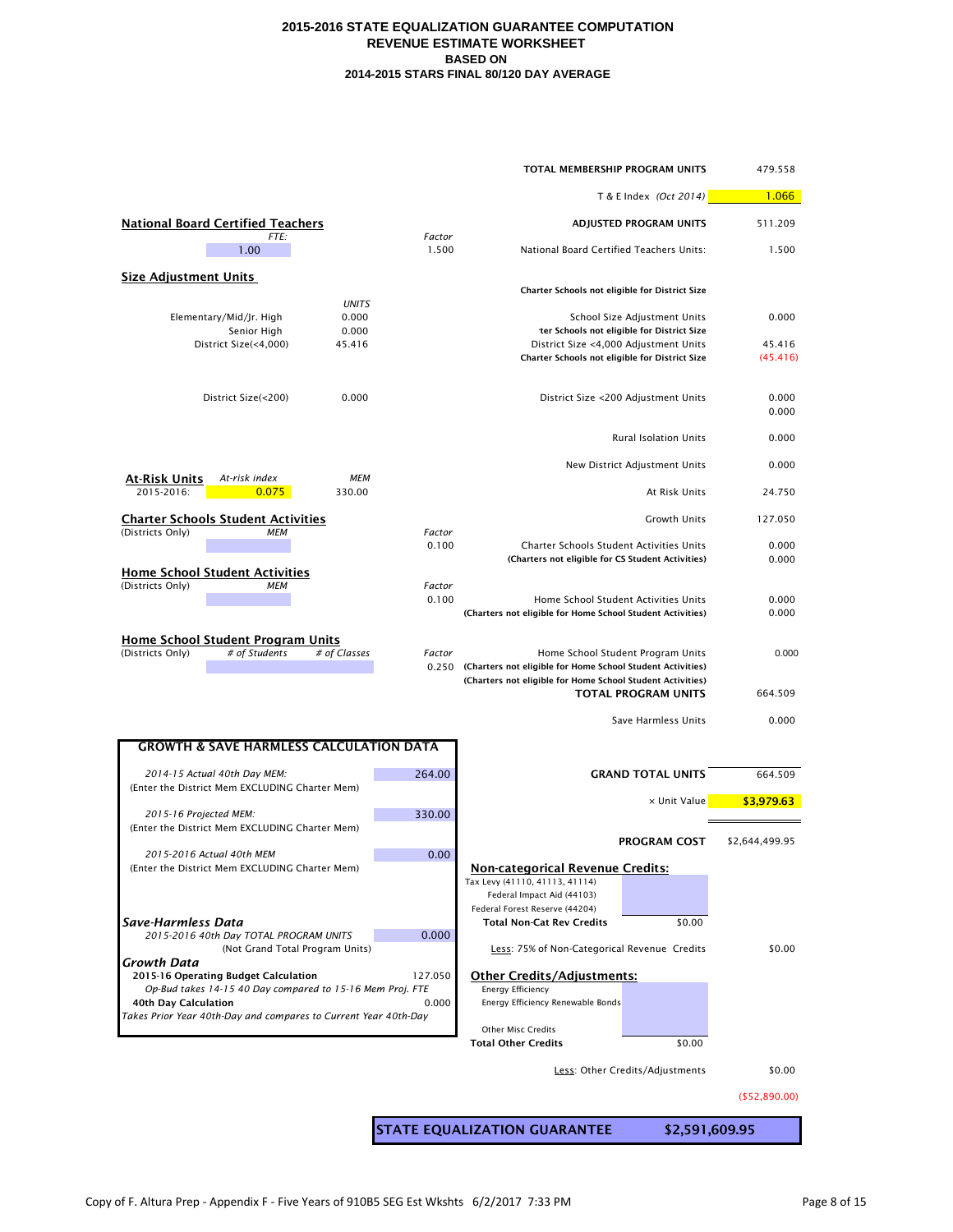|                                                                                                   |                 | TOTAL MEMBERSHIP PROGRAM UNITS                                                                     |                                                                            | 479.558            |
|---------------------------------------------------------------------------------------------------|-----------------|----------------------------------------------------------------------------------------------------|----------------------------------------------------------------------------|--------------------|
|                                                                                                   |                 |                                                                                                    | T & E Index (Oct 2014)                                                     | 1.066              |
| <b>National Board Certified Teachers</b>                                                          |                 |                                                                                                    | ADJUSTED PROGRAM UNITS                                                     | 511.209            |
| FTE:<br>1.00                                                                                      | Factor<br>1.500 | National Board Certified Teachers Units:                                                           |                                                                            | 1.500              |
| <b>Size Adjustment Units</b>                                                                      |                 |                                                                                                    |                                                                            |                    |
| <b>UNITS</b>                                                                                      |                 | Charter Schools not eligible for District Size                                                     |                                                                            |                    |
| Elementary/Mid/Jr. High<br>0.000<br>0.000<br>Senior High                                          |                 |                                                                                                    | School Size Adjustment Units<br>ter Schools not eligible for District Size | 0.000              |
| District Size(<4,000)<br>45.416                                                                   |                 | District Size <4,000 Adjustment Units<br>Charter Schools not eligible for District Size            |                                                                            | 45.416<br>(45.416) |
| 0.000<br>District Size(<200)                                                                      |                 |                                                                                                    | District Size <200 Adjustment Units                                        | 0.000<br>0.000     |
|                                                                                                   |                 |                                                                                                    | <b>Rural Isolation Units</b>                                               | 0.000              |
|                                                                                                   |                 |                                                                                                    | New District Adjustment Units                                              | 0.000              |
| <b>MEM</b><br><u>At-Risk Units</u><br>At-risk index<br>2015-2016:<br>0.075<br>330.00              |                 |                                                                                                    | At Risk Units                                                              | 24.750             |
| <b>Charter Schools Student Activities</b>                                                         |                 |                                                                                                    | Growth Units                                                               | 127.050            |
| (Districts Only)<br><b>MEM</b>                                                                    | Factor<br>0.100 | Charter Schools Student Activities Units                                                           |                                                                            | 0.000              |
| <b>Home School Student Activities</b>                                                             |                 | (Charters not eligible for CS Student Activities)                                                  |                                                                            | 0.000              |
| (Districts Only)<br><b>MEM</b>                                                                    | Factor<br>0.100 | Home School Student Activities Units<br>(Charters not eligible for Home School Student Activities) |                                                                            | 0.000<br>0.000     |
| <b>Home School Student Program Units</b><br>(Districts Only)<br># of Students<br># of Classes     | Factor          | 0.250 (Charters not eligible for Home School Student Activities)                                   | Home School Student Program Units                                          | 0.000              |
|                                                                                                   |                 | (Charters not eligible for Home School Student Activities)                                         | <b>TOTAL PROGRAM UNITS</b>                                                 | 664.509            |
|                                                                                                   |                 |                                                                                                    | Save Harmless Units                                                        | 0.000              |
| <b>GROWTH &amp; SAVE HARMLESS CALCULATION DATA</b>                                                |                 |                                                                                                    |                                                                            |                    |
| 2014-15 Actual 40th Day MEM:                                                                      | 264.00          |                                                                                                    | <b>GRAND TOTAL UNITS</b>                                                   | 664.509            |
| (Enter the District Mem EXCLUDING Charter Mem)                                                    |                 |                                                                                                    | x Unit Value                                                               | \$3,979.63         |
| 2015-16 Projected MEM:<br>(Enter the District Mem EXCLUDING Charter Mem)                          | 330.00          |                                                                                                    |                                                                            |                    |
| 2015-2016 Actual 40th MEM                                                                         | 0.00            |                                                                                                    | <b>PROGRAM COST</b>                                                        | \$2,644,499.95     |
| (Enter the District Mem EXCLUDING Charter Mem)                                                    |                 | <b>Non-categorical Revenue Credits:</b><br>Tax Levy (41110, 41113, 41114)                          |                                                                            |                    |
|                                                                                                   |                 | Federal Impact Aid (44103)<br>Federal Forest Reserve (44204)                                       |                                                                            |                    |
| Save-Harmless Data<br>2015-2016 40th Day TOTAL PROGRAM UNITS                                      | 0.000           | <b>Total Non-Cat Rev Credits</b>                                                                   | \$0.00                                                                     |                    |
| (Not Grand Total Program Units)<br>Growth Data                                                    |                 | Less: 75% of Non-Categorical Revenue Credits                                                       |                                                                            | \$0.00             |
| 2015-16 Operating Budget Calculation<br>Op-Bud takes 14-15 40 Day compared to 15-16 Mem Proj. FTE | 127.050         | <b>Other Credits/Adjustments:</b><br><b>Energy Efficiency</b>                                      |                                                                            |                    |
| <b>40th Day Calculation</b>                                                                       | 0.000           | Energy Efficiency Renewable Bonds                                                                  |                                                                            |                    |
| Takes Prior Year 40th-Day and compares to Current Year 40th-Day                                   |                 | <b>Other Misc Credits</b>                                                                          |                                                                            |                    |
|                                                                                                   |                 | <b>Total Other Credits</b>                                                                         | \$0.00                                                                     |                    |
|                                                                                                   |                 |                                                                                                    | Less: Other Credits/Adjustments                                            | \$0.00             |
|                                                                                                   |                 |                                                                                                    |                                                                            | ( \$52, 890.00)    |
|                                                                                                   |                 | <b>STATE EQUALIZATION GUARANTEE</b>                                                                | \$2,591,609.95                                                             |                    |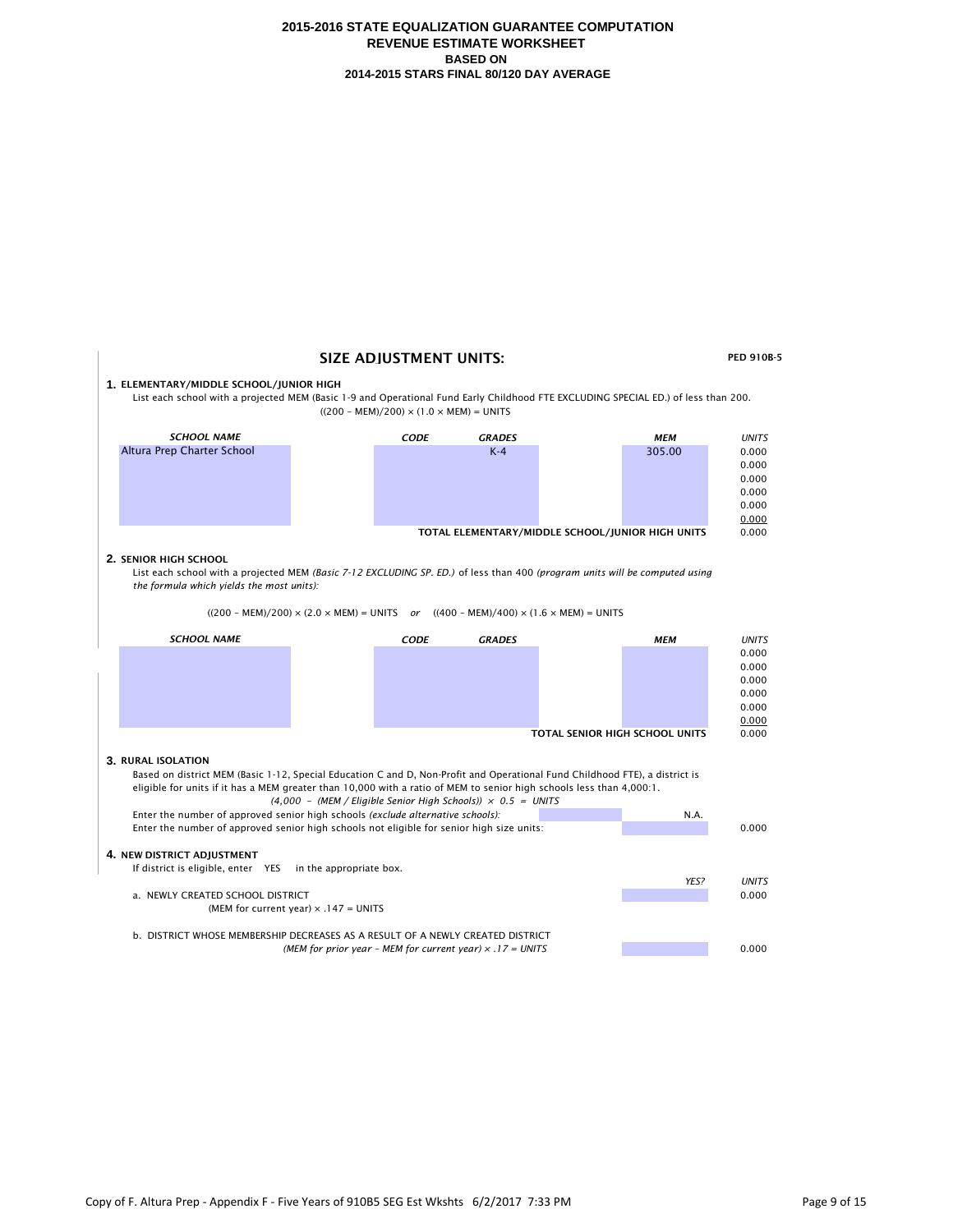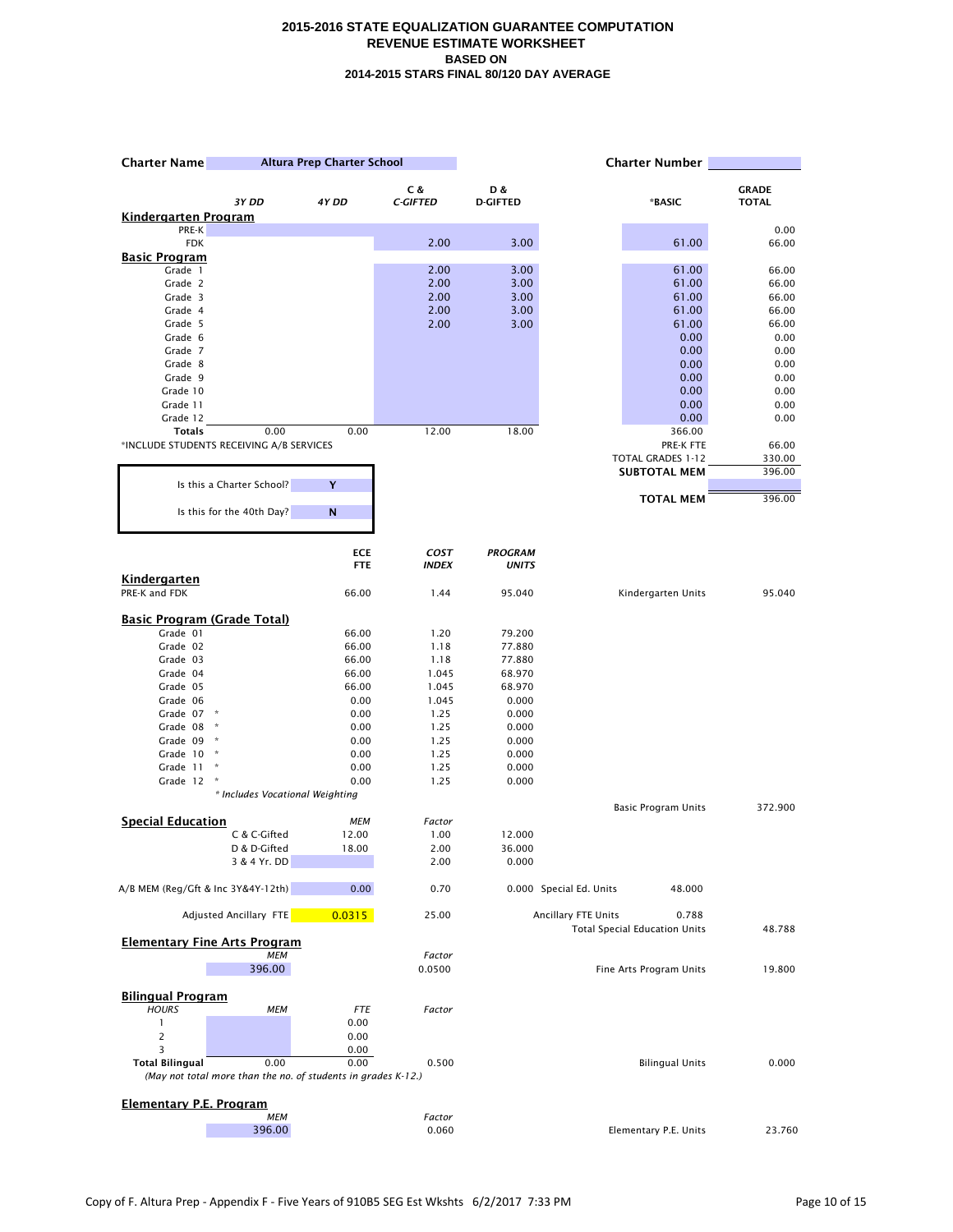| <b>Altura Prep Charter School</b><br><b>Charter Name</b>  |                                                               |                     |                  | <b>Charter Number</b> |                         |                                      |                |
|-----------------------------------------------------------|---------------------------------------------------------------|---------------------|------------------|-----------------------|-------------------------|--------------------------------------|----------------|
|                                                           |                                                               |                     | C &              | D &                   |                         |                                      | <b>GRADE</b>   |
|                                                           | 3Y DD                                                         | 4Y DD               | <b>C-GIFTED</b>  | <b>D-GIFTED</b>       |                         | *BASIC                               | <b>TOTAL</b>   |
| <u>Kindergarten Program</u><br>PRE-K                      |                                                               |                     |                  |                       |                         |                                      | 0.00           |
| <b>FDK</b>                                                |                                                               |                     | 2.00             | 3.00                  |                         | 61.00                                | 66.00          |
| <b>Basic Program</b>                                      |                                                               |                     |                  |                       |                         |                                      |                |
| Grade 1                                                   |                                                               |                     | 2.00             | 3.00                  |                         | 61.00                                | 66.00          |
| Grade 2                                                   |                                                               |                     | 2.00             | 3.00                  |                         | 61.00                                | 66.00          |
| Grade 3                                                   |                                                               |                     | 2.00             | 3.00                  |                         | 61.00                                | 66.00          |
| Grade 4<br>Grade 5                                        |                                                               |                     | 2.00<br>2.00     | 3.00<br>3.00          |                         | 61.00<br>61.00                       | 66.00<br>66.00 |
| Grade 6                                                   |                                                               |                     |                  |                       |                         | 0.00                                 | 0.00           |
| Grade 7                                                   |                                                               |                     |                  |                       |                         | 0.00                                 | 0.00           |
| Grade 8                                                   |                                                               |                     |                  |                       |                         | 0.00                                 | 0.00           |
| Grade 9                                                   |                                                               |                     |                  |                       |                         | 0.00                                 | 0.00           |
| Grade 10                                                  |                                                               |                     |                  |                       |                         | 0.00                                 | 0.00           |
| Grade 11                                                  |                                                               |                     |                  |                       |                         | 0.00                                 | 0.00           |
| Grade 12                                                  |                                                               |                     |                  |                       |                         | 0.00                                 | 0.00           |
| <b>Totals</b><br>*INCLUDE STUDENTS RECEIVING A/B SERVICES | 0.00                                                          | 0.00                | 12.00            | 18.00                 |                         | 366.00<br>PRE-K FTE                  | 66.00          |
|                                                           |                                                               |                     |                  |                       |                         | <b>TOTAL GRADES 1-12</b>             | 330.00         |
|                                                           |                                                               |                     |                  |                       |                         | <b>SUBTOTAL MEM</b>                  | 396.00         |
|                                                           | Is this a Charter School?                                     | Y                   |                  |                       |                         |                                      |                |
|                                                           | Is this for the 40th Day?                                     | N                   |                  |                       |                         | <b>TOTAL MEM</b>                     | 396.00         |
|                                                           |                                                               |                     |                  |                       |                         |                                      |                |
|                                                           |                                                               | <b>ECE</b>          | <b>COST</b>      | <b>PROGRAM</b>        |                         |                                      |                |
|                                                           |                                                               | <b>FTE</b>          | <b>INDEX</b>     | <b>UNITS</b>          |                         |                                      |                |
| Kindergarten<br>PRE-K and FDK                             |                                                               | 66.00               | 1.44             | 95.040                |                         | Kindergarten Units                   | 95.040         |
| <b>Basic Program (Grade Total)</b>                        |                                                               |                     |                  |                       |                         |                                      |                |
| Grade 01                                                  |                                                               | 66.00               | 1.20             | 79.200                |                         |                                      |                |
| Grade 02                                                  |                                                               | 66.00               | 1.18             | 77.880                |                         |                                      |                |
| Grade 03                                                  |                                                               | 66.00               | 1.18             | 77.880                |                         |                                      |                |
| Grade 04                                                  |                                                               | 66.00               | 1.045            | 68.970                |                         |                                      |                |
| Grade 05                                                  |                                                               | 66.00               | 1.045            | 68.970                |                         |                                      |                |
| Grade 06                                                  |                                                               | 0.00                | 1.045            | 0.000                 |                         |                                      |                |
| Grade 07                                                  | $\mathbf{x}$                                                  | 0.00<br>0.00        | 1.25             | 0.000                 |                         |                                      |                |
| Grade 08<br>Grade 09                                      |                                                               | 0.00                | 1.25<br>1.25     | 0.000<br>0.000        |                         |                                      |                |
| Grade 10                                                  | $\mathcal{R}$                                                 | 0.00                | 1.25             | 0.000                 |                         |                                      |                |
| Grade 11                                                  | $\boldsymbol{\kappa}$                                         | 0.00                | 1.25             | 0.000                 |                         |                                      |                |
| Grade 12                                                  |                                                               | 0.00                | 1.25             | 0.000                 |                         |                                      |                |
|                                                           | * Includes Vocational Weighting                               |                     |                  |                       |                         |                                      |                |
|                                                           |                                                               |                     |                  |                       |                         | <b>Basic Program Units</b>           | 372.900        |
| <b>Special Education</b>                                  | C & C-Gifted                                                  | <b>MEM</b><br>12.00 | Factor<br>1.00   | 12.000                |                         |                                      |                |
|                                                           | D & D-Gifted                                                  | 18.00               | 2.00             | 36.000                |                         |                                      |                |
|                                                           | 3 & 4 Yr. DD                                                  |                     | 2.00             | 0.000                 |                         |                                      |                |
| A/B MEM (Reg/Gft & Inc 3Y&4Y-12th)                        |                                                               | 0.00                | 0.70             |                       | 0.000 Special Ed. Units | 48.000                               |                |
|                                                           | Adjusted Ancillary FTE                                        | 0.0315              | 25.00            |                       | Ancillary FTE Units     | 0.788                                |                |
| <b>Elementary Fine Arts Program</b>                       |                                                               |                     |                  |                       |                         | <b>Total Special Education Units</b> | 48.788         |
|                                                           | <b>MEM</b><br>396.00                                          |                     | Factor<br>0.0500 |                       |                         | Fine Arts Program Units              | 19.800         |
|                                                           |                                                               |                     |                  |                       |                         |                                      |                |
| <b>Bilingual Program</b>                                  |                                                               |                     |                  |                       |                         |                                      |                |
| <b>HOURS</b>                                              | <b>MEM</b>                                                    | <b>FTE</b>          | Factor           |                       |                         |                                      |                |
| $\mathbf{1}$                                              |                                                               | 0.00                |                  |                       |                         |                                      |                |
| $\overline{c}$<br>3                                       |                                                               | 0.00                |                  |                       |                         |                                      |                |
| <b>Total Bilingual</b>                                    | 0.00                                                          | 0.00<br>0.00        | 0.500            |                       |                         | <b>Bilingual Units</b>               | 0.000          |
|                                                           | (May not total more than the no. of students in grades K-12.) |                     |                  |                       |                         |                                      |                |
| <b>Elementary P.E. Program</b>                            |                                                               |                     |                  |                       |                         |                                      |                |
|                                                           | MEM                                                           |                     | Factor           |                       |                         |                                      |                |
|                                                           | 396.00                                                        |                     | 0.060            |                       |                         | Elementary P.E. Units                | 23.760         |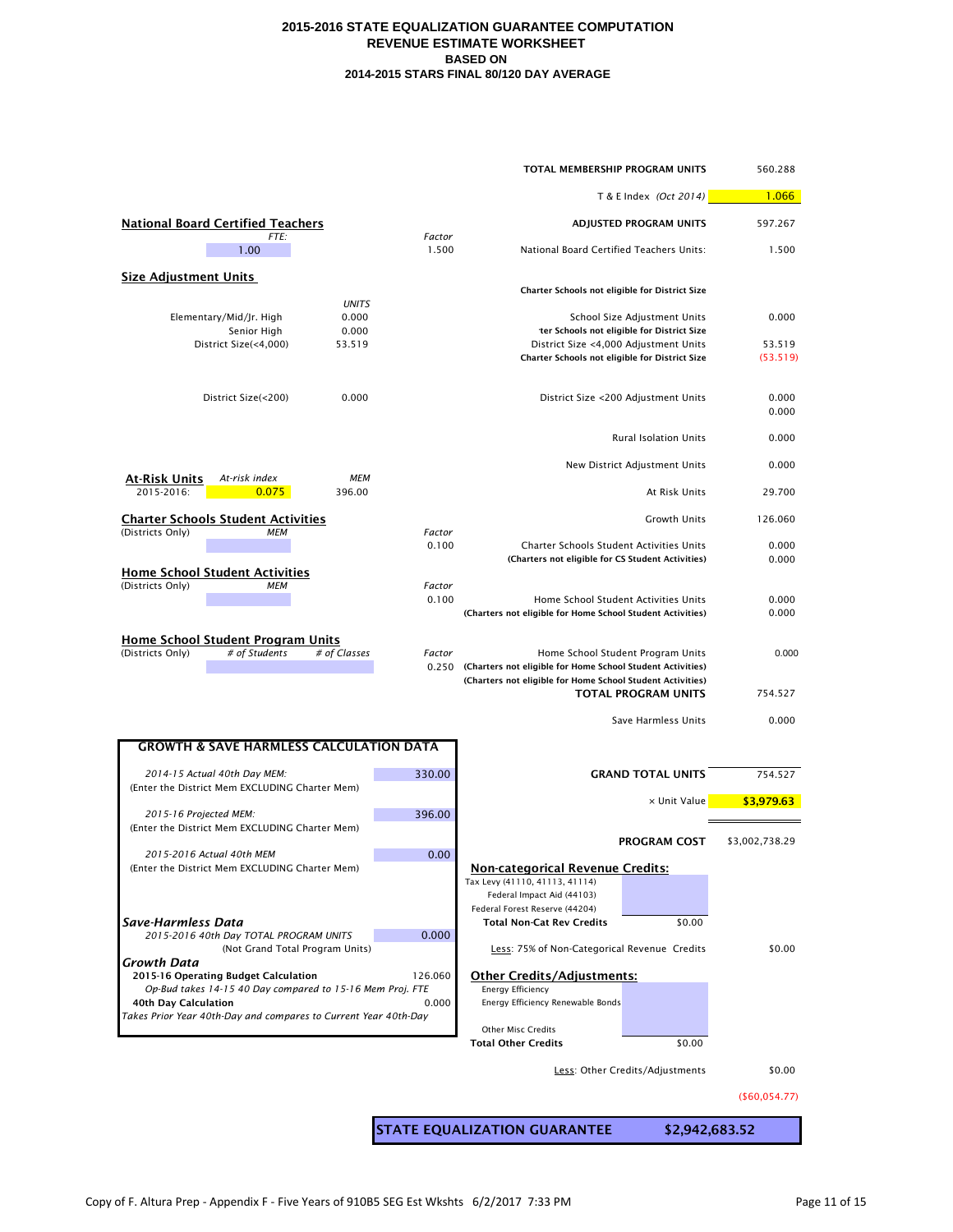|                                                                                                   |                 | TOTAL MEMBERSHIP PROGRAM UNITS                                                                                           |                                                                            | 560.288            |
|---------------------------------------------------------------------------------------------------|-----------------|--------------------------------------------------------------------------------------------------------------------------|----------------------------------------------------------------------------|--------------------|
|                                                                                                   |                 | T & E Index (Oct 2014)                                                                                                   | 1.066                                                                      |                    |
| <b>National Board Certified Teachers</b>                                                          |                 |                                                                                                                          | ADJUSTED PROGRAM UNITS                                                     | 597.267            |
| FTE:<br>1.00                                                                                      | Factor<br>1.500 | National Board Certified Teachers Units:                                                                                 |                                                                            | 1.500              |
| <b>Size Adjustment Units</b>                                                                      |                 |                                                                                                                          |                                                                            |                    |
| <b>UNITS</b>                                                                                      |                 | Charter Schools not eligible for District Size                                                                           |                                                                            |                    |
| Elementary/Mid/Jr. High<br>0.000<br>0.000<br>Senior High                                          |                 |                                                                                                                          | School Size Adjustment Units<br>ter Schools not eligible for District Size | 0.000              |
| District Size(<4,000)<br>53.519                                                                   |                 | District Size <4,000 Adjustment Units<br>Charter Schools not eligible for District Size                                  |                                                                            | 53.519<br>(53.519) |
| 0.000<br>District Size(<200)                                                                      |                 |                                                                                                                          | District Size <200 Adjustment Units                                        | 0.000<br>0.000     |
|                                                                                                   |                 |                                                                                                                          | <b>Rural Isolation Units</b>                                               | 0.000              |
| <b>MEM</b><br><u>At-Risk Units</u><br>At-risk index                                               |                 |                                                                                                                          | New District Adjustment Units                                              | 0.000              |
| 2015-2016:<br>0.075<br>396.00                                                                     |                 |                                                                                                                          | At Risk Units                                                              | 29.700             |
| <b>Charter Schools Student Activities</b><br>(Districts Only)<br>MEM                              | Factor          |                                                                                                                          | <b>Growth Units</b>                                                        | 126.060            |
|                                                                                                   | 0.100           | Charter Schools Student Activities Units<br>(Charters not eligible for CS Student Activities)                            |                                                                            | 0.000<br>0.000     |
| <b>Home School Student Activities</b><br>(Districts Only)<br><b>MEM</b>                           | Factor          |                                                                                                                          |                                                                            |                    |
|                                                                                                   | 0.100           | Home School Student Activities Units<br>(Charters not eligible for Home School Student Activities)                       |                                                                            | 0.000<br>0.000     |
| <b>Home School Student Program Units</b>                                                          |                 |                                                                                                                          |                                                                            |                    |
| (Districts Only)<br># of Students<br># of Classes                                                 | Factor<br>0.250 | (Charters not eligible for Home School Student Activities)<br>(Charters not eligible for Home School Student Activities) | Home School Student Program Units<br>TOTAL PROGRAM UNITS                   | 0.000<br>754.527   |
|                                                                                                   |                 |                                                                                                                          |                                                                            |                    |
|                                                                                                   |                 |                                                                                                                          | Save Harmless Units                                                        | 0.000              |
| <b>GROWTH &amp; SAVE HARMLESS CALCULATION DATA</b>                                                |                 |                                                                                                                          |                                                                            |                    |
| 2014-15 Actual 40th Day MEM:<br>(Enter the District Mem EXCLUDING Charter Mem)                    | 330.00          |                                                                                                                          | <b>GRAND TOTAL UNITS</b>                                                   | 754.527            |
| 2015-16 Projected MEM:                                                                            | 396.00          |                                                                                                                          | x Unit Value                                                               | \$3,979.63         |
| (Enter the District Mem EXCLUDING Charter Mem)                                                    |                 |                                                                                                                          | <b>PROGRAM COST</b>                                                        | \$3,002,738.29     |
| 2015-2016 Actual 40th MEM<br>(Enter the District Mem EXCLUDING Charter Mem)                       | 0.00            | <b>Non-categorical Revenue Credits:</b>                                                                                  |                                                                            |                    |
|                                                                                                   |                 | Tax Levy (41110, 41113, 41114)<br>Federal Impact Aid (44103)                                                             |                                                                            |                    |
|                                                                                                   |                 | Federal Forest Reserve (44204)                                                                                           |                                                                            |                    |
| Save-Harmless Data<br>2015-2016 40th Day TOTAL PROGRAM UNITS                                      | 0.000           | Total Non-Cat Rev Credits                                                                                                | \$0.00                                                                     |                    |
| (Not Grand Total Program Units)<br>Growth Data                                                    |                 | Less: 75% of Non-Categorical Revenue Credits                                                                             |                                                                            | \$0.00             |
| 2015-16 Operating Budget Calculation<br>Op-Bud takes 14-15 40 Day compared to 15-16 Mem Proj. FTE | 126.060         | <b>Other Credits/Adjustments:</b><br><b>Energy Efficiency</b>                                                            |                                                                            |                    |
| 40th Day Calculation<br>Takes Prior Year 40th-Day and compares to Current Year 40th-Day           | 0.000           | Energy Efficiency Renewable Bonds                                                                                        |                                                                            |                    |
|                                                                                                   |                 | Other Misc Credits<br><b>Total Other Credits</b>                                                                         | \$0.00                                                                     |                    |
|                                                                                                   |                 |                                                                                                                          | Less: Other Credits/Adjustments                                            | \$0.00             |
|                                                                                                   |                 |                                                                                                                          |                                                                            |                    |
|                                                                                                   |                 |                                                                                                                          |                                                                            | ( \$60,054.77)     |
|                                                                                                   |                 | <b>STATE EQUALIZATION GUARANTEE</b>                                                                                      | \$2,942,683.52                                                             |                    |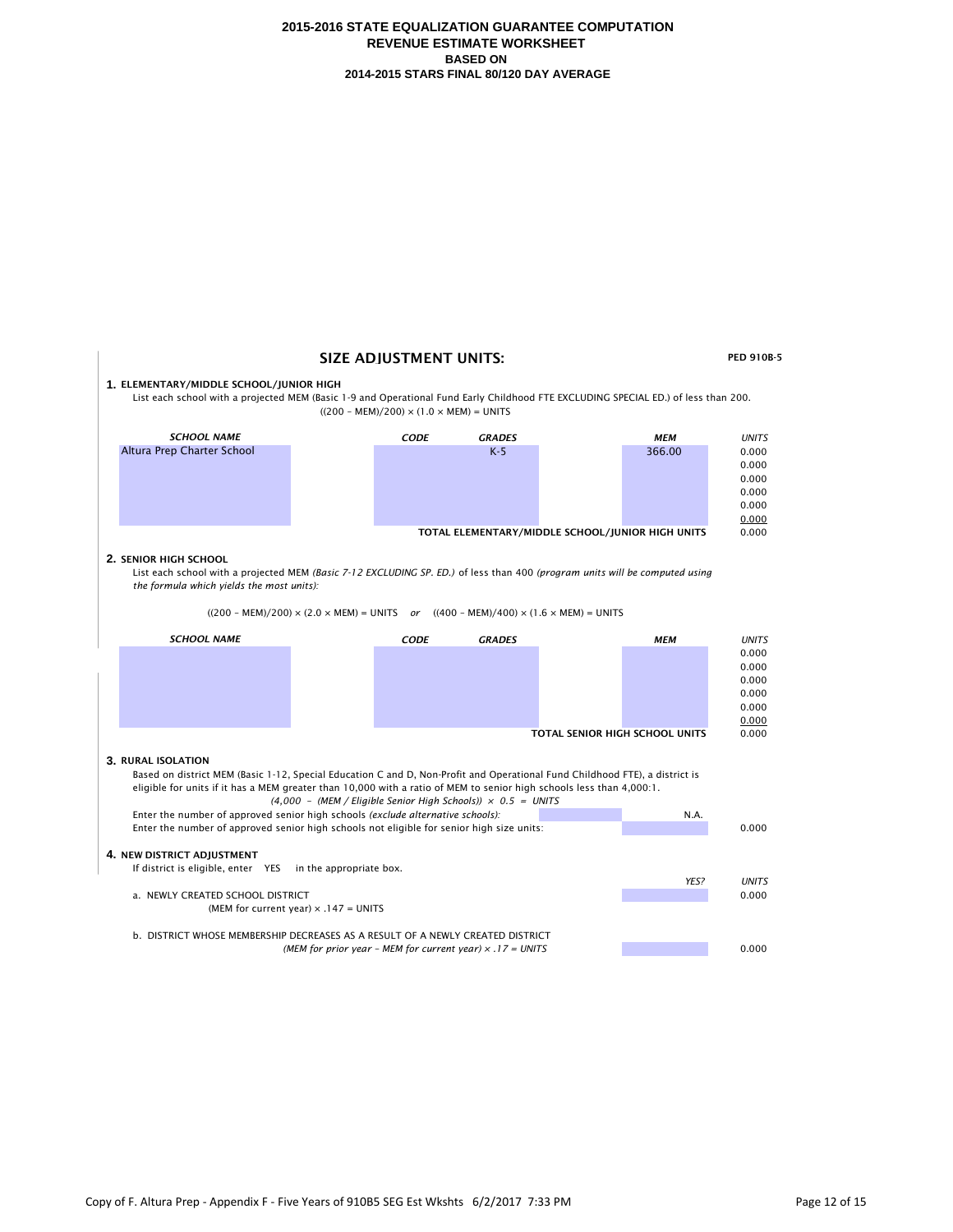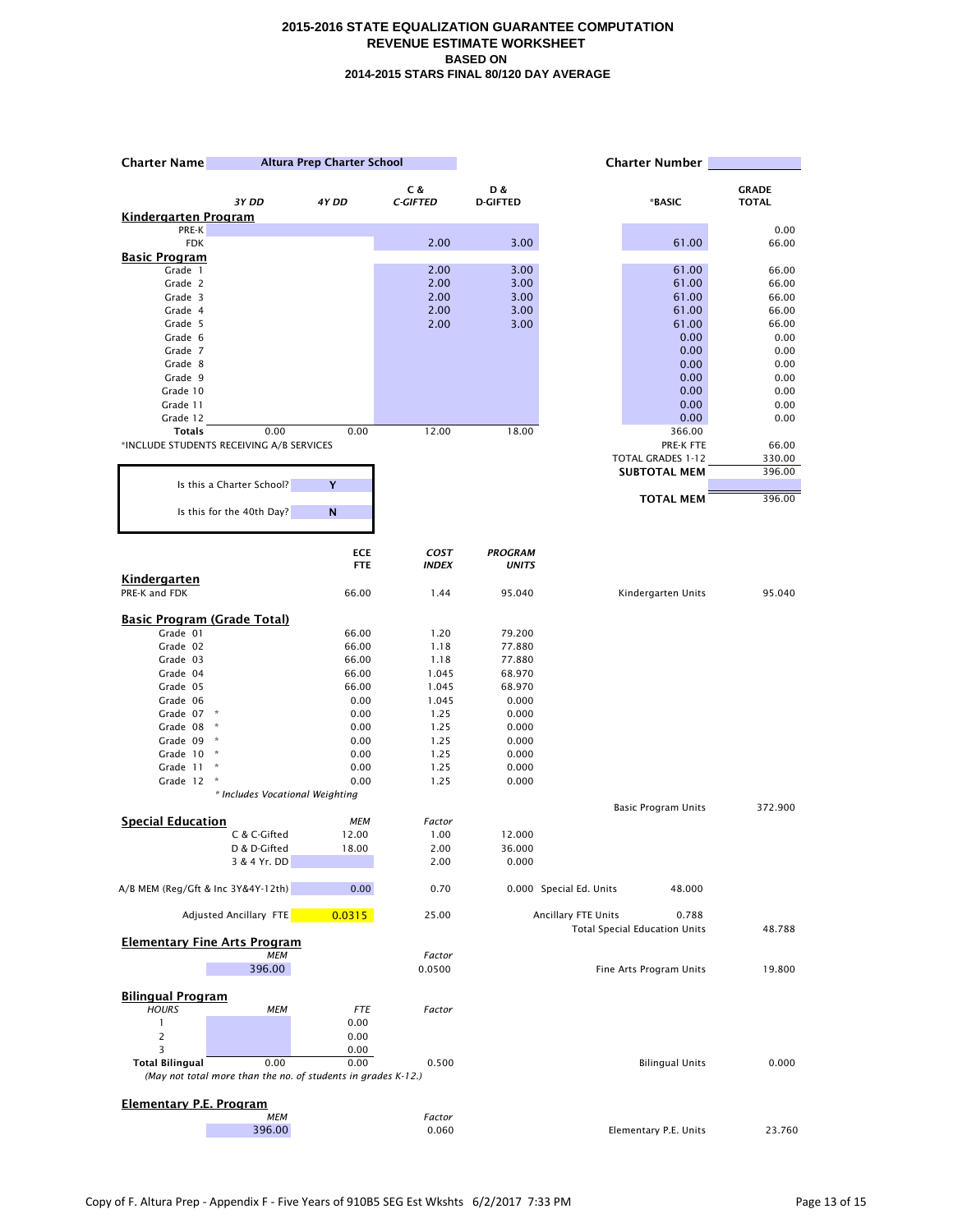| <b>Charter Name</b>                            | Altura Prep Charter School                                    |              | <b>Charter Number</b> |                 |                            |                                               |                |
|------------------------------------------------|---------------------------------------------------------------|--------------|-----------------------|-----------------|----------------------------|-----------------------------------------------|----------------|
|                                                |                                                               |              | C &                   | D &             |                            |                                               | <b>GRADE</b>   |
|                                                | 3Y DD                                                         | 4Y DD        | <b>C-GIFTED</b>       | <b>D-GIFTED</b> |                            | *BASIC                                        | <b>TOTAL</b>   |
| <b>Kindergarten Program</b><br>PRE-K           |                                                               |              |                       |                 |                            |                                               | 0.00           |
| <b>FDK</b>                                     |                                                               |              | 2.00                  | 3.00            |                            | 61.00                                         | 66.00          |
| <b>Basic Program</b>                           |                                                               |              |                       |                 |                            |                                               |                |
| Grade 1                                        |                                                               |              | 2.00                  | 3.00            |                            | 61.00                                         | 66.00          |
| Grade 2                                        |                                                               |              | 2.00                  | 3.00            |                            | 61.00                                         | 66.00          |
| Grade 3<br>Grade 4                             |                                                               |              | 2.00<br>2.00          | 3.00<br>3.00    |                            | 61.00<br>61.00                                | 66.00<br>66.00 |
| Grade 5                                        |                                                               |              | 2.00                  | 3.00            |                            | 61.00                                         | 66.00          |
| Grade 6                                        |                                                               |              |                       |                 |                            | 0.00                                          | 0.00           |
| Grade 7                                        |                                                               |              |                       |                 |                            | 0.00                                          | 0.00           |
| Grade 8                                        |                                                               |              |                       |                 |                            | 0.00                                          | 0.00           |
| Grade 9                                        |                                                               |              |                       |                 |                            | 0.00                                          | 0.00           |
| Grade 10<br>Grade 11                           |                                                               |              |                       |                 |                            | 0.00<br>0.00                                  | 0.00<br>0.00   |
| Grade 12                                       |                                                               |              |                       |                 |                            | 0.00                                          | 0.00           |
| <b>Totals</b>                                  | 0.00                                                          | 0.00         | 12.00                 | 18.00           |                            | 366.00                                        |                |
|                                                | *INCLUDE STUDENTS RECEIVING A/B SERVICES                      |              |                       |                 |                            | PRE-K FTE                                     | 66.00          |
|                                                |                                                               |              |                       |                 |                            | <b>TOTAL GRADES 1-12</b>                      | 330.00         |
|                                                |                                                               |              |                       |                 |                            | <b>SUBTOTAL MEM</b>                           | 396.00         |
|                                                | Is this a Charter School?                                     | Y            |                       |                 |                            | <b>TOTAL MEM</b>                              | 396.00         |
|                                                | Is this for the 40th Day?                                     | N            |                       |                 |                            |                                               |                |
|                                                |                                                               | <b>ECE</b>   | <b>COST</b>           | <b>PROGRAM</b>  |                            |                                               |                |
|                                                |                                                               | <b>FTE</b>   | <b>INDEX</b>          | <b>UNITS</b>    |                            |                                               |                |
| Kindergarten                                   |                                                               |              |                       |                 |                            |                                               |                |
| PRE-K and FDK                                  |                                                               | 66.00        | 1.44                  | 95.040          |                            | Kindergarten Units                            | 95.040         |
|                                                |                                                               |              |                       |                 |                            |                                               |                |
| <b>Basic Program (Grade Total)</b><br>Grade 01 |                                                               | 66.00        | 1.20                  | 79.200          |                            |                                               |                |
| Grade 02                                       |                                                               | 66.00        | 1.18                  | 77.880          |                            |                                               |                |
| Grade 03                                       |                                                               | 66.00        | 1.18                  | 77.880          |                            |                                               |                |
| Grade 04                                       |                                                               | 66.00        | 1.045                 | 68.970          |                            |                                               |                |
| Grade 05                                       |                                                               | 66.00        | 1.045                 | 68.970          |                            |                                               |                |
| Grade 06                                       |                                                               | 0.00         | 1.045                 | 0.000           |                            |                                               |                |
| Grade 07<br>Grade 08                           | $\,$ $\,$ $\,$                                                | 0.00<br>0.00 | 1.25<br>1.25          | 0.000<br>0.000  |                            |                                               |                |
| Grade 09                                       |                                                               | 0.00         | 1.25                  | 0.000           |                            |                                               |                |
| Grade 10                                       | $\,$ $\,$ $\,$                                                | 0.00         | 1.25                  | 0.000           |                            |                                               |                |
| Grade 11                                       | Ŕ                                                             | 0.00         | 1.25                  | 0.000           |                            |                                               |                |
| Grade 12                                       |                                                               | 0.00         | 1.25                  | 0.000           |                            |                                               |                |
|                                                | * Includes Vocational Weighting                               |              |                       |                 |                            |                                               |                |
| <b>Special Education</b>                       |                                                               | <b>MEM</b>   | Factor                |                 |                            | <b>Basic Program Units</b>                    | 372.900        |
|                                                | C & C-Gifted                                                  | 12.00        | 1.00                  | 12.000          |                            |                                               |                |
|                                                | D & D-Gifted                                                  | 18.00        | 2.00                  | 36.000          |                            |                                               |                |
|                                                | 3 & 4 Yr. DD                                                  |              | 2.00                  | 0.000           |                            |                                               |                |
| A/B MEM (Reg/Gft & Inc 3Y&4Y-12th)             |                                                               | 0.00         | 0.70                  |                 | 0.000 Special Ed. Units    | 48.000                                        |                |
|                                                | <b>Adjusted Ancillary FTE</b>                                 | 0.0315       | 25.00                 |                 | <b>Ancillary FTE Units</b> | 0.788<br><b>Total Special Education Units</b> | 48.788         |
|                                                | <b>Elementary Fine Arts Program</b>                           |              |                       |                 |                            |                                               |                |
|                                                | <b>MEM</b>                                                    |              | Factor                |                 |                            |                                               |                |
|                                                | 396.00                                                        |              | 0.0500                |                 |                            | Fine Arts Program Units                       | 19.800         |
|                                                |                                                               |              |                       |                 |                            |                                               |                |
| <b>Bilingual Program</b><br><b>HOURS</b>       | <b>MEM</b>                                                    | <b>FTE</b>   | Factor                |                 |                            |                                               |                |
| 1                                              |                                                               | 0.00         |                       |                 |                            |                                               |                |
| $\overline{c}$                                 |                                                               | 0.00         |                       |                 |                            |                                               |                |
| 3                                              |                                                               | 0.00         |                       |                 |                            |                                               |                |
| <b>Total Bilingual</b>                         | 0.00                                                          | 0.00         | 0.500                 |                 |                            | <b>Bilingual Units</b>                        | 0.000          |
|                                                | (May not total more than the no. of students in grades K-12.) |              |                       |                 |                            |                                               |                |
| <b>Elementary P.E. Program</b>                 |                                                               |              |                       |                 |                            |                                               |                |
|                                                | <b>MEM</b>                                                    |              | Factor                |                 |                            |                                               |                |
|                                                | 396.00                                                        |              | 0.060                 |                 |                            | Elementary P.E. Units                         | 23.760         |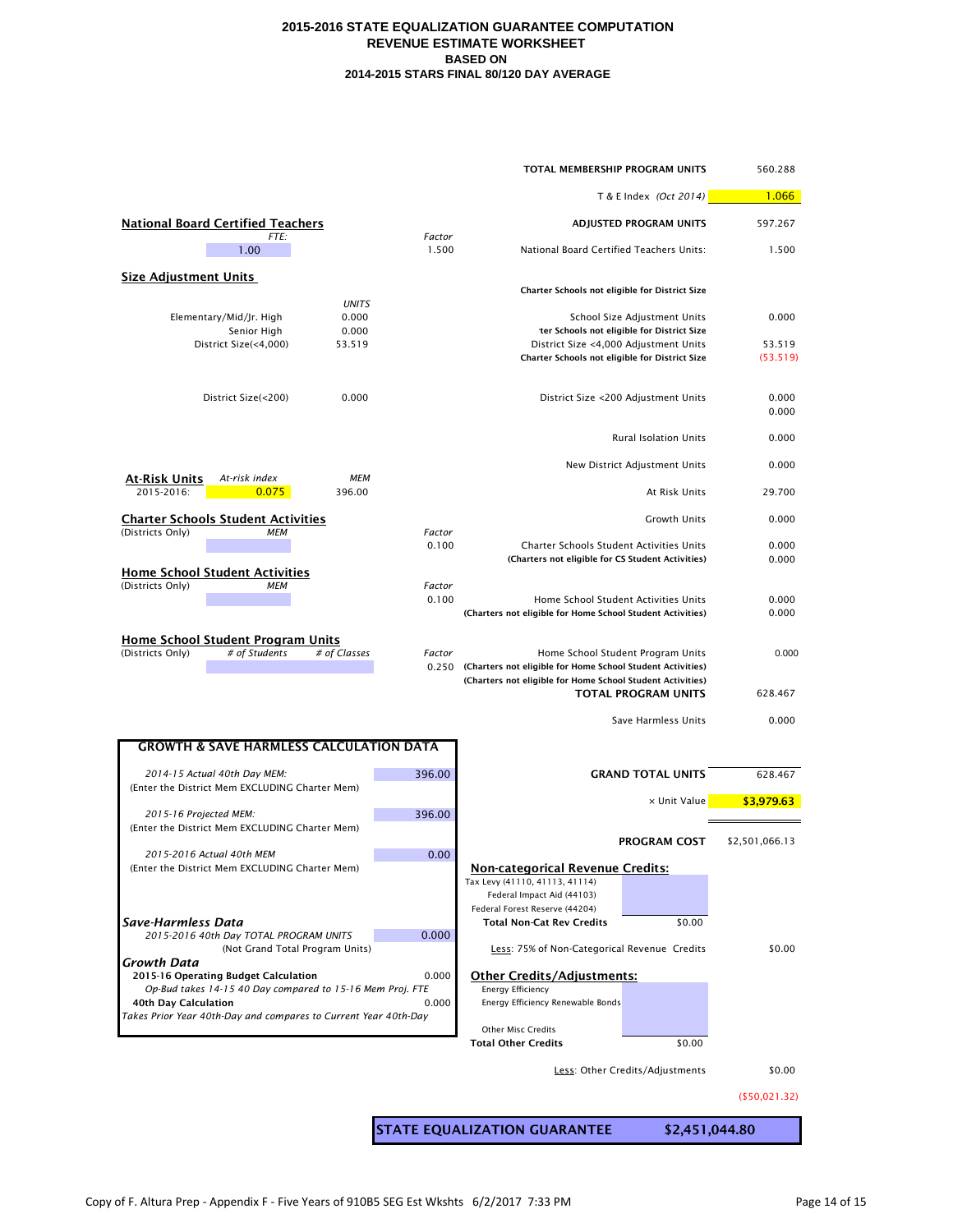|                                                                                      |                 | TOTAL MEMBERSHIP PROGRAM UNITS                                                                                                 |                                                                                     | 560.288         |
|--------------------------------------------------------------------------------------|-----------------|--------------------------------------------------------------------------------------------------------------------------------|-------------------------------------------------------------------------------------|-----------------|
|                                                                                      |                 |                                                                                                                                | T & E Index (Oct 2014)                                                              | 1.066           |
| <b>National Board Certified Teachers</b>                                             |                 |                                                                                                                                | ADJUSTED PROGRAM UNITS                                                              | 597.267         |
| FTE:<br>1.00                                                                         | Factor<br>1.500 | National Board Certified Teachers Units:                                                                                       |                                                                                     | 1.500           |
| <b>Size Adjustment Units</b>                                                         |                 |                                                                                                                                |                                                                                     |                 |
| <b>UNITS</b>                                                                         |                 | Charter Schools not eligible for District Size                                                                                 |                                                                                     |                 |
| Elementary/Mid/Jr. High<br>0.000<br>0.000                                            |                 |                                                                                                                                | School Size Adjustment Units                                                        | 0.000           |
| Senior High<br>District Size(<4,000)<br>53.519                                       |                 |                                                                                                                                | ter Schools not eligible for District Size<br>District Size <4,000 Adjustment Units | 53.519          |
|                                                                                      |                 | Charter Schools not eligible for District Size                                                                                 |                                                                                     | (53.519)        |
| 0.000<br>District Size(<200)                                                         |                 |                                                                                                                                | District Size <200 Adjustment Units                                                 | 0.000<br>0.000  |
|                                                                                      |                 |                                                                                                                                | <b>Rural Isolation Units</b>                                                        | 0.000           |
|                                                                                      |                 |                                                                                                                                |                                                                                     |                 |
| <b>MEM</b><br><u>At-Risk Units</u><br>At-risk index<br>2015-2016:<br>0.075<br>396.00 |                 |                                                                                                                                | New District Adjustment Units<br>At Risk Units                                      | 0.000<br>29.700 |
|                                                                                      |                 |                                                                                                                                |                                                                                     |                 |
| <b>Charter Schools Student Activities</b><br>(Districts Only)<br><b>MEM</b>          | Factor          |                                                                                                                                | <b>Growth Units</b>                                                                 | 0.000           |
|                                                                                      | 0.100           | Charter Schools Student Activities Units                                                                                       |                                                                                     | 0.000           |
| <b>Home School Student Activities</b>                                                |                 | (Charters not eligible for CS Student Activities)                                                                              |                                                                                     | 0.000           |
| (Districts Only)<br><b>MEM</b>                                                       | Factor          |                                                                                                                                |                                                                                     |                 |
|                                                                                      | 0.100           | (Charters not eligible for Home School Student Activities)                                                                     | Home School Student Activities Units                                                | 0.000<br>0.000  |
| <b>Home School Student Program Units</b>                                             |                 |                                                                                                                                |                                                                                     |                 |
| (Districts Only)<br># of Students<br># of Classes                                    | Factor          |                                                                                                                                | Home School Student Program Units                                                   | 0.000           |
|                                                                                      |                 | 0.250 (Charters not eligible for Home School Student Activities)<br>(Charters not eligible for Home School Student Activities) |                                                                                     |                 |
|                                                                                      |                 |                                                                                                                                | <b>TOTAL PROGRAM UNITS</b>                                                          | 628.467         |
|                                                                                      |                 |                                                                                                                                | Save Harmless Units                                                                 | 0.000           |
| <b>GROWTH &amp; SAVE HARMLESS CALCULATION DATA</b>                                   |                 |                                                                                                                                |                                                                                     |                 |
| 2014-15 Actual 40th Day MEM:<br>(Enter the District Mem EXCLUDING Charter Mem)       | 396.00          |                                                                                                                                | <b>GRAND TOTAL UNITS</b>                                                            | 628.467         |
|                                                                                      |                 |                                                                                                                                | x Unit Value                                                                        | \$3,979.63      |
| 2015-16 Projected MEM:<br>(Enter the District Mem EXCLUDING Charter Mem)             | 396.00          |                                                                                                                                |                                                                                     |                 |
|                                                                                      |                 |                                                                                                                                | <b>PROGRAM COST</b>                                                                 | \$2,501,066.13  |
| 2015-2016 Actual 40th MEM<br>(Enter the District Mem EXCLUDING Charter Mem)          | 0.00            | <b>Non-categorical Revenue Credits:</b>                                                                                        |                                                                                     |                 |
|                                                                                      |                 | Tax Levy (41110, 41113, 41114)<br>Federal Impact Aid (44103)                                                                   |                                                                                     |                 |
|                                                                                      |                 | Federal Forest Reserve (44204)                                                                                                 |                                                                                     |                 |
| Save-Harmless Data<br>2015-2016 40th Day TOTAL PROGRAM UNITS                         | 0.000           | <b>Total Non-Cat Rev Credits</b>                                                                                               | \$0.00                                                                              |                 |
| (Not Grand Total Program Units)<br>Growth Data                                       |                 | Less: 75% of Non-Categorical Revenue Credits                                                                                   |                                                                                     | \$0.00          |
| 2015-16 Operating Budget Calculation                                                 | 0.000           | <b>Other Credits/Adjustments:</b>                                                                                              |                                                                                     |                 |
| Op-Bud takes 14-15 40 Day compared to 15-16 Mem Proj. FTE<br>40th Day Calculation    | 0.000           | <b>Energy Efficiency</b><br>Energy Efficiency Renewable Bonds                                                                  |                                                                                     |                 |
| Takes Prior Year 40th-Day and compares to Current Year 40th-Day                      |                 |                                                                                                                                |                                                                                     |                 |
|                                                                                      |                 | <b>Other Misc Credits</b><br><b>Total Other Credits</b>                                                                        | \$0.00                                                                              |                 |
|                                                                                      |                 |                                                                                                                                | Less: Other Credits/Adjustments                                                     | \$0.00          |
|                                                                                      |                 |                                                                                                                                |                                                                                     | ( \$50,021.32)  |
|                                                                                      |                 |                                                                                                                                |                                                                                     |                 |
|                                                                                      |                 | <b>STATE EQUALIZATION GUARANTEE</b>                                                                                            | \$2,451,044.80                                                                      |                 |